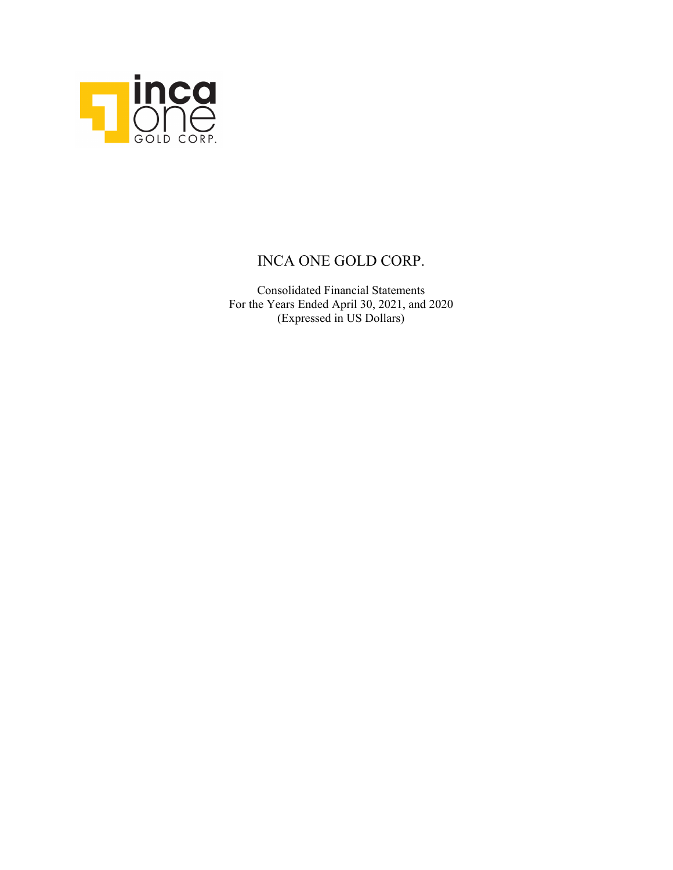

Consolidated Financial Statements For the Years Ended April 30, 2021, and 2020 (Expressed in US Dollars)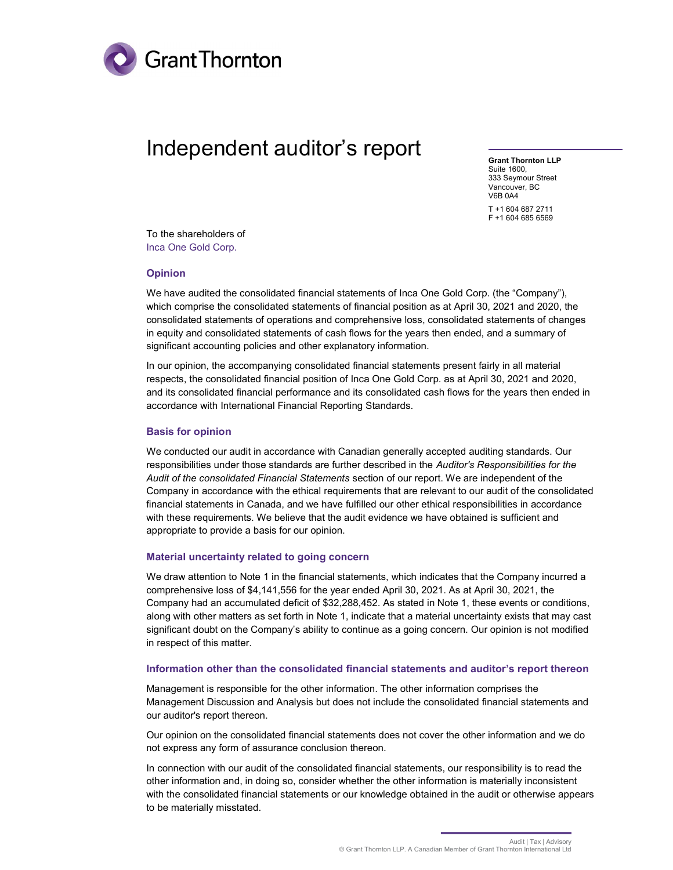

# Independent auditor's report

Grant Thornton LLP Suite 1600, 333 Seymour Street Vancouver, BC V6B 0A4

T +1 604 687 2711 F +1 604 685 6569

To the shareholders of Inca One Gold Corp.

#### Opinion

We have audited the consolidated financial statements of Inca One Gold Corp. (the "Company"), which comprise the consolidated statements of financial position as at April 30, 2021 and 2020, the consolidated statements of operations and comprehensive loss, consolidated statements of changes in equity and consolidated statements of cash flows for the years then ended, and a summary of significant accounting policies and other explanatory information.

In our opinion, the accompanying consolidated financial statements present fairly in all material respects, the consolidated financial position of Inca One Gold Corp. as at April 30, 2021 and 2020, and its consolidated financial performance and its consolidated cash flows for the years then ended in accordance with International Financial Reporting Standards.

#### Basis for opinion

We conducted our audit in accordance with Canadian generally accepted auditing standards. Our responsibilities under those standards are further described in the Auditor's Responsibilities for the Audit of the consolidated Financial Statements section of our report. We are independent of the Company in accordance with the ethical requirements that are relevant to our audit of the consolidated financial statements in Canada, and we have fulfilled our other ethical responsibilities in accordance with these requirements. We believe that the audit evidence we have obtained is sufficient and appropriate to provide a basis for our opinion.

#### Material uncertainty related to going concern

We draw attention to Note 1 in the financial statements, which indicates that the Company incurred a comprehensive loss of \$4,141,556 for the year ended April 30, 2021. As at April 30, 2021, the Company had an accumulated deficit of \$32,288,452. As stated in Note 1, these events or conditions, along with other matters as set forth in Note 1, indicate that a material uncertainty exists that may cast significant doubt on the Company's ability to continue as a going concern. Our opinion is not modified in respect of this matter.

#### Information other than the consolidated financial statements and auditor's report thereon

Management is responsible for the other information. The other information comprises the Management Discussion and Analysis but does not include the consolidated financial statements and our auditor's report thereon.

Our opinion on the consolidated financial statements does not cover the other information and we do not express any form of assurance conclusion thereon.

In connection with our audit of the consolidated financial statements, our responsibility is to read the other information and, in doing so, consider whether the other information is materially inconsistent with the consolidated financial statements or our knowledge obtained in the audit or otherwise appears to be materially misstated.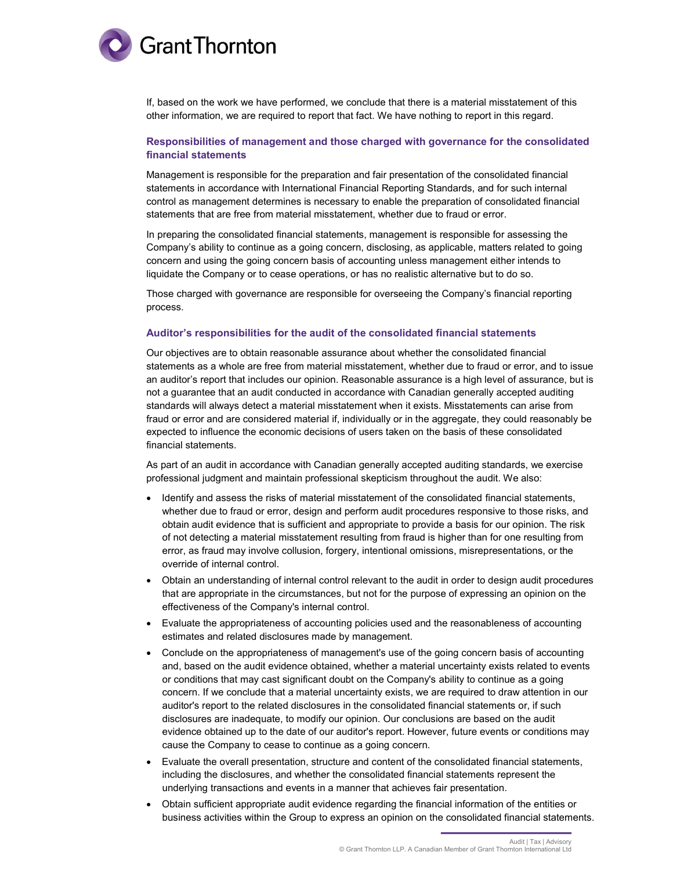

If, based on the work we have performed, we conclude that there is a material misstatement of this other information, we are required to report that fact. We have nothing to report in this regard.

#### Responsibilities of management and those charged with governance for the consolidated financial statements

Management is responsible for the preparation and fair presentation of the consolidated financial statements in accordance with International Financial Reporting Standards, and for such internal control as management determines is necessary to enable the preparation of consolidated financial statements that are free from material misstatement, whether due to fraud or error.

In preparing the consolidated financial statements, management is responsible for assessing the Company's ability to continue as a going concern, disclosing, as applicable, matters related to going concern and using the going concern basis of accounting unless management either intends to liquidate the Company or to cease operations, or has no realistic alternative but to do so.

Those charged with governance are responsible for overseeing the Company's financial reporting process.

#### Auditor's responsibilities for the audit of the consolidated financial statements

Our objectives are to obtain reasonable assurance about whether the consolidated financial statements as a whole are free from material misstatement, whether due to fraud or error, and to issue an auditor's report that includes our opinion. Reasonable assurance is a high level of assurance, but is not a guarantee that an audit conducted in accordance with Canadian generally accepted auditing standards will always detect a material misstatement when it exists. Misstatements can arise from fraud or error and are considered material if, individually or in the aggregate, they could reasonably be expected to influence the economic decisions of users taken on the basis of these consolidated financial statements.

As part of an audit in accordance with Canadian generally accepted auditing standards, we exercise professional judgment and maintain professional skepticism throughout the audit. We also:

- Identify and assess the risks of material misstatement of the consolidated financial statements, whether due to fraud or error, design and perform audit procedures responsive to those risks, and obtain audit evidence that is sufficient and appropriate to provide a basis for our opinion. The risk of not detecting a material misstatement resulting from fraud is higher than for one resulting from error, as fraud may involve collusion, forgery, intentional omissions, misrepresentations, or the override of internal control.
- Obtain an understanding of internal control relevant to the audit in order to design audit procedures that are appropriate in the circumstances, but not for the purpose of expressing an opinion on the effectiveness of the Company's internal control.
- Evaluate the appropriateness of accounting policies used and the reasonableness of accounting estimates and related disclosures made by management.
- Conclude on the appropriateness of management's use of the going concern basis of accounting and, based on the audit evidence obtained, whether a material uncertainty exists related to events or conditions that may cast significant doubt on the Company's ability to continue as a going concern. If we conclude that a material uncertainty exists, we are required to draw attention in our auditor's report to the related disclosures in the consolidated financial statements or, if such disclosures are inadequate, to modify our opinion. Our conclusions are based on the audit evidence obtained up to the date of our auditor's report. However, future events or conditions may cause the Company to cease to continue as a going concern.
- Evaluate the overall presentation, structure and content of the consolidated financial statements, including the disclosures, and whether the consolidated financial statements represent the underlying transactions and events in a manner that achieves fair presentation.
- Obtain sufficient appropriate audit evidence regarding the financial information of the entities or business activities within the Group to express an opinion on the consolidated financial statements.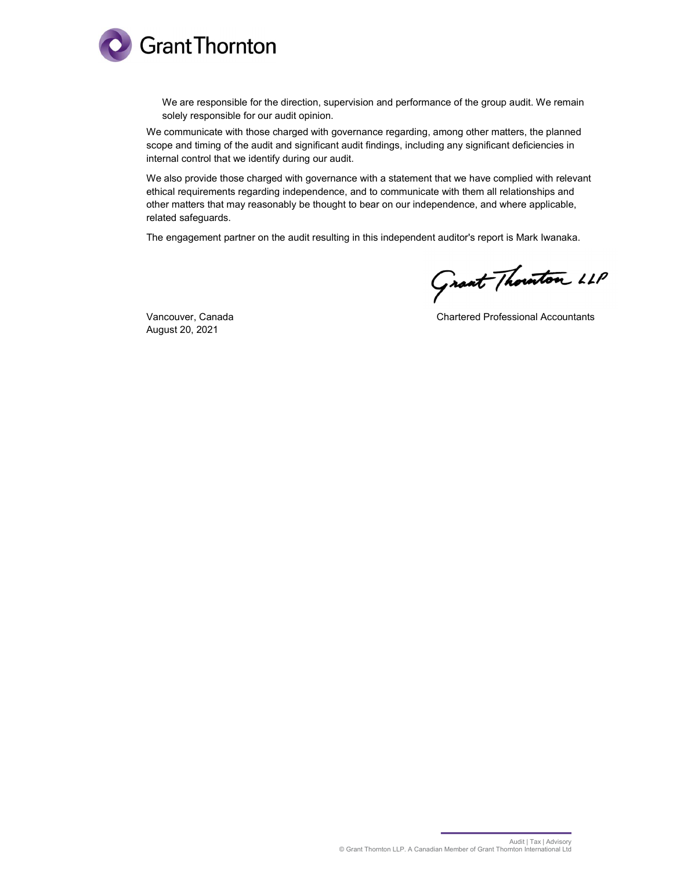

We are responsible for the direction, supervision and performance of the group audit. We remain solely responsible for our audit opinion.

We communicate with those charged with governance regarding, among other matters, the planned scope and timing of the audit and significant audit findings, including any significant deficiencies in internal control that we identify during our audit.

We also provide those charged with governance with a statement that we have complied with relevant ethical requirements regarding independence, and to communicate with them all relationships and other matters that may reasonably be thought to bear on our independence, and where applicable, related safeguards.

The engagement partner on the audit resulting in this independent auditor's report is Mark Iwanaka.

Grant Thouston LLP

August 20, 2021

Vancouver, Canada **Chartered Professional Accountants** Chartered Professional Accountants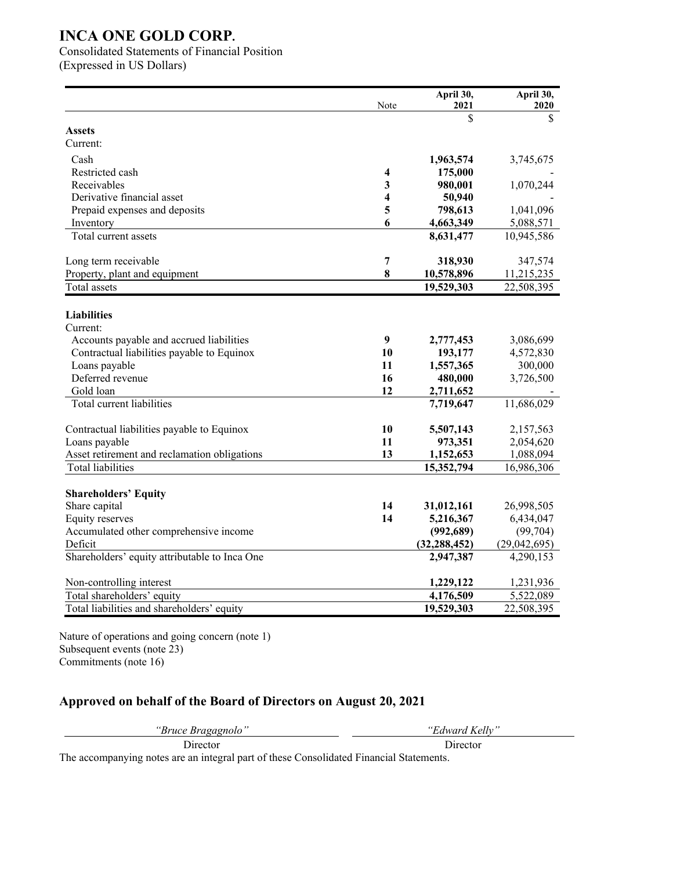Consolidated Statements of Financial Position

(Expressed in US Dollars)

|                                               | Note           | April 30,<br>2021      | April 30,<br>2020 |
|-----------------------------------------------|----------------|------------------------|-------------------|
|                                               |                | \$                     | \$                |
| <b>Assets</b>                                 |                |                        |                   |
| Current:                                      |                |                        |                   |
| Cash                                          |                | 1,963,574              | 3,745,675         |
| Restricted cash                               | 4              | 175,000                |                   |
| Receivables                                   | 3              | 980,001                | 1,070,244         |
| Derivative financial asset                    | 4              | 50,940                 |                   |
| Prepaid expenses and deposits                 | 5              | 798,613                | 1,041,096         |
| Inventory                                     | 6              | 4,663,349              | 5,088,571         |
| Total current assets                          |                | 8,631,477              | 10,945,586        |
| Long term receivable                          | $\overline{7}$ | 318,930                | 347,574           |
| Property, plant and equipment                 | 8              | 10,578,896             | 11,215,235        |
| <b>Total</b> assets                           |                | 19,529,303             | 22,508,395        |
|                                               |                |                        |                   |
| <b>Liabilities</b>                            |                |                        |                   |
| Current:                                      |                |                        |                   |
| Accounts payable and accrued liabilities      | 9              | 2,777,453              | 3,086,699         |
| Contractual liabilities payable to Equinox    | 10             | 193,177                | 4,572,830         |
| Loans payable<br>Deferred revenue             | 11<br>16       | 1,557,365              | 300,000           |
| Gold loan                                     | 12             | 480,000                | 3,726,500         |
| Total current liabilities                     |                | 2,711,652<br>7,719,647 | 11,686,029        |
|                                               |                |                        |                   |
| Contractual liabilities payable to Equinox    | 10             | 5,507,143              | 2,157,563         |
| Loans payable                                 | 11             | 973,351                | 2,054,620         |
| Asset retirement and reclamation obligations  | 13             | 1,152,653              | 1,088,094         |
| <b>Total liabilities</b>                      |                | 15,352,794             | 16,986,306        |
|                                               |                |                        |                   |
| <b>Shareholders' Equity</b>                   |                |                        |                   |
| Share capital                                 | 14             | 31,012,161             | 26,998,505        |
| <b>Equity reserves</b>                        | 14             | 5,216,367              | 6,434,047         |
| Accumulated other comprehensive income        |                | (992, 689)             | (99, 704)         |
| Deficit                                       |                | (32, 288, 452)         | (29,042,695)      |
| Shareholders' equity attributable to Inca One |                | 2,947,387              | 4,290,153         |
| Non-controlling interest                      |                | 1,229,122              | 1,231,936         |
| Total shareholders' equity                    |                | 4,176,509              | 5,522,089         |
| Total liabilities and shareholders' equity    |                | 19,529,303             | 22,508,395        |

Nature of operations and going concern (note 1) Subsequent events (note 23) Commitments (note 16)

## **Approved on behalf of the Board of Directors on August 20, 2021**

*"Bruce Bragagnolo" "Edward Kelly"*

The accompanying notes are an integral part of these Consolidated Financial Statements.

Director Director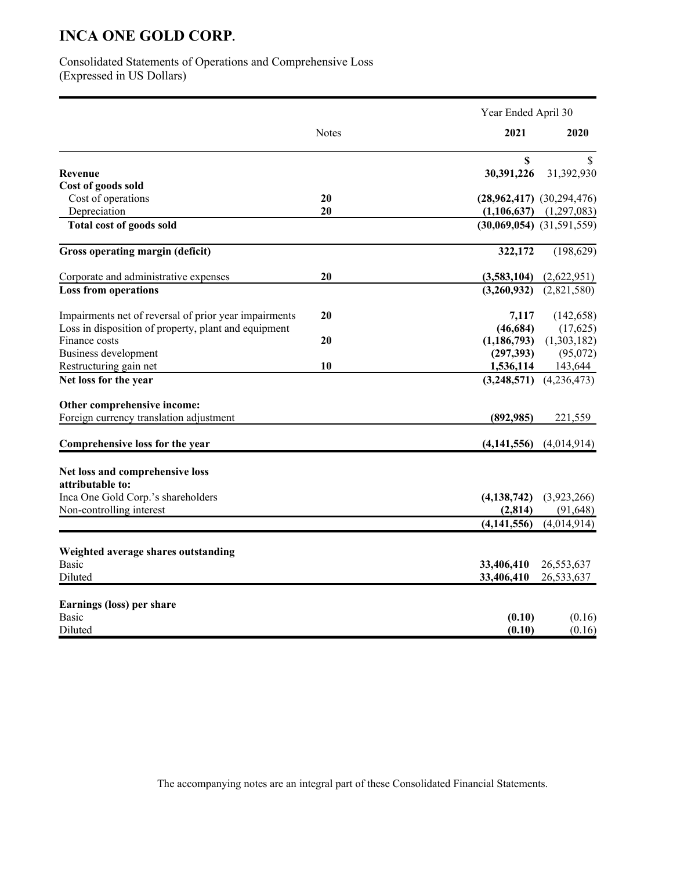Consolidated Statements of Operations and Comprehensive Loss (Expressed in US Dollars)

|                                                       |              | Year Ended April 30 |                               |  |
|-------------------------------------------------------|--------------|---------------------|-------------------------------|--|
|                                                       | <b>Notes</b> | 2021                | 2020                          |  |
|                                                       |              | \$                  | S                             |  |
| Revenue                                               |              | 30,391,226          | 31,392,930                    |  |
| Cost of goods sold                                    |              |                     |                               |  |
| Cost of operations                                    | 20           |                     | $(28,962,417)$ $(30,294,476)$ |  |
| Depreciation                                          | 20           | (1, 106, 637)       | (1,297,083)                   |  |
| <b>Total cost of goods sold</b>                       |              |                     | $(30,069,054)$ $(31,591,559)$ |  |
| Gross operating margin (deficit)                      |              | 322,172             | (198, 629)                    |  |
| Corporate and administrative expenses                 | 20           | (3,583,104)         | (2,622,951)                   |  |
| <b>Loss from operations</b>                           |              | (3,260,932)         | (2,821,580)                   |  |
| Impairments net of reversal of prior year impairments | 20           | 7,117               | (142, 658)                    |  |
| Loss in disposition of property, plant and equipment  |              | (46, 684)           | (17,625)                      |  |
| Finance costs                                         | 20           | (1, 186, 793)       | (1,303,182)                   |  |
| Business development                                  |              | (297, 393)          | (95,072)                      |  |
| Restructuring gain net                                | 10           | 1,536,114           | 143,644                       |  |
| Net loss for the year                                 |              | (3,248,571)         | (4,236,473)                   |  |
|                                                       |              |                     |                               |  |
| Other comprehensive income:                           |              |                     |                               |  |
| Foreign currency translation adjustment               |              | (892, 985)          | 221,559                       |  |
| Comprehensive loss for the year                       |              | (4, 141, 556)       | (4,014,914)                   |  |
| Net loss and comprehensive loss                       |              |                     |                               |  |
| attributable to:                                      |              |                     |                               |  |
| Inca One Gold Corp.'s shareholders                    |              | (4, 138, 742)       | (3,923,266)                   |  |
| Non-controlling interest                              |              | (2, 814)            | (91, 648)                     |  |
|                                                       |              | (4, 141, 556)       | (4,014,914)                   |  |
|                                                       |              |                     |                               |  |
| Weighted average shares outstanding                   |              |                     |                               |  |
| <b>Basic</b>                                          |              | 33,406,410          | 26,553,637                    |  |
| Diluted                                               |              | 33,406,410          | 26,533,637                    |  |
| Earnings (loss) per share                             |              |                     |                               |  |
| <b>Basic</b>                                          |              | (0.10)              | (0.16)                        |  |
| Diluted                                               |              | (0.10)              | (0.16)                        |  |

The accompanying notes are an integral part of these Consolidated Financial Statements.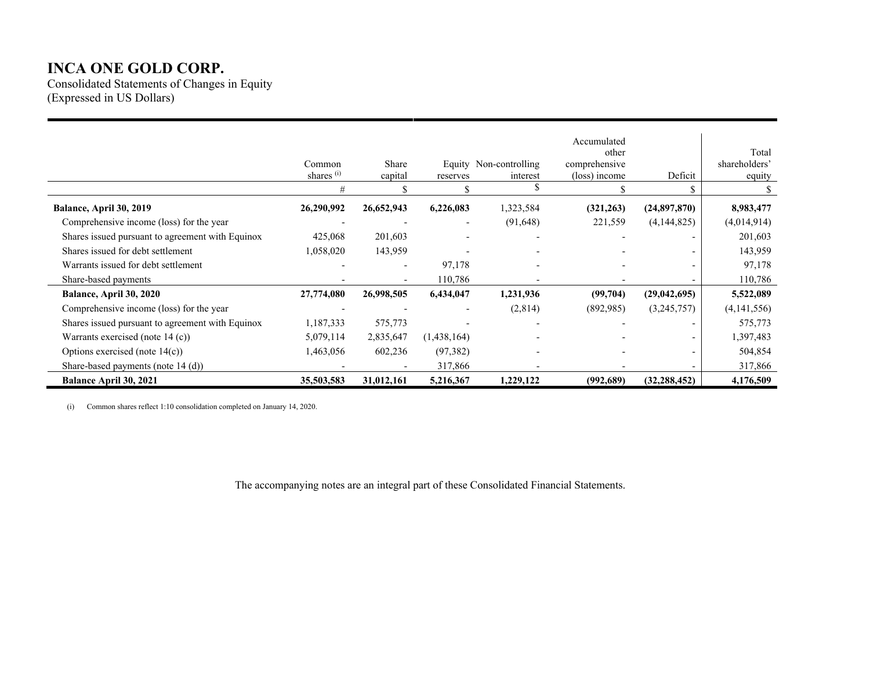Consolidated Statements of Changes in Equity (Expressed in US Dollars)

|                                                  | Common<br>shares <sup>(i)</sup><br># | Share<br>capital | reserves                 | Equity Non-controlling<br>interest<br>\$ | Accumulated<br>other<br>comprehensive<br>(loss) income | Deficit        | Total<br>shareholders'<br>equity |
|--------------------------------------------------|--------------------------------------|------------------|--------------------------|------------------------------------------|--------------------------------------------------------|----------------|----------------------------------|
| Balance, April 30, 2019                          | 26,290,992                           | 26,652,943       | 6,226,083                | 1,323,584                                | (321, 263)                                             | (24,897,870)   | 8,983,477                        |
| Comprehensive income (loss) for the year         |                                      |                  | $\overline{\phantom{a}}$ | (91, 648)                                | 221,559                                                | (4,144,825)    | (4,014,914)                      |
| Shares issued pursuant to agreement with Equinox | 425,068                              | 201,603          |                          |                                          |                                                        |                | 201,603                          |
| Shares issued for debt settlement                | 1,058,020                            | 143,959          |                          |                                          |                                                        |                | 143,959                          |
| Warrants issued for debt settlement              |                                      |                  | 97,178                   | $\overline{\phantom{a}}$                 |                                                        |                | 97,178                           |
| Share-based payments                             |                                      |                  | 110,786                  |                                          |                                                        |                | 110,786                          |
| Balance, April 30, 2020                          | 27,774,080                           | 26,998,505       | 6,434,047                | 1,231,936                                | (99,704)                                               | (29,042,695)   | 5,522,089                        |
| Comprehensive income (loss) for the year         |                                      |                  |                          | (2,814)                                  | (892,985)                                              | (3,245,757)    | (4,141,556)                      |
| Shares issued pursuant to agreement with Equinox | 1,187,333                            | 575,773          |                          |                                          |                                                        |                | 575,773                          |
| Warrants exercised (note $14$ (c))               | 5,079,114                            | 2,835,647        | (1,438,164)              |                                          |                                                        |                | 1,397,483                        |
| Options exercised (note $14(c)$ )                | 1,463,056                            | 602,236          | (97, 382)                |                                          |                                                        |                | 504,854                          |
| Share-based payments (note 14 (d))               |                                      |                  | 317,866                  |                                          |                                                        |                | 317,866                          |
| <b>Balance April 30, 2021</b>                    | 35,503,583                           | 31,012,161       | 5,216,367                | 1,229,122                                | (992, 689)                                             | (32, 288, 452) | 4,176,509                        |

(i) Common shares reflect 1:10 consolidation completed on January 14, 2020.

The accompanying notes are an integral part of these Consolidated Financial Statements.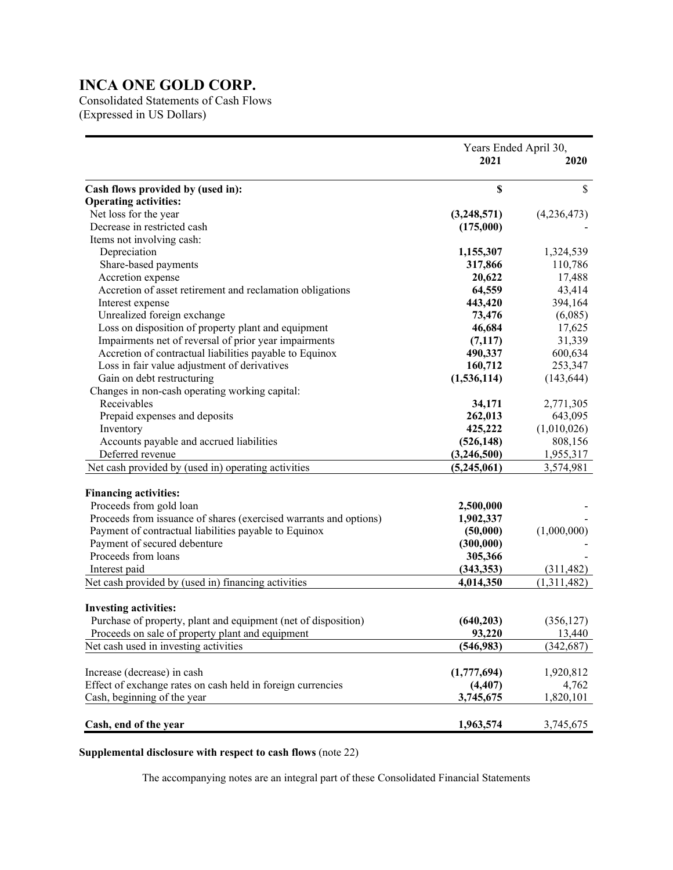Consolidated Statements of Cash Flows (Expressed in US Dollars)

|                                                                   | Years Ended April 30, |             |
|-------------------------------------------------------------------|-----------------------|-------------|
|                                                                   | 2021                  |             |
|                                                                   |                       |             |
| Cash flows provided by (used in):                                 | \$                    | \$          |
| <b>Operating activities:</b>                                      |                       |             |
| Net loss for the year                                             | (3,248,571)           | (4,236,473) |
| Decrease in restricted cash                                       | (175,000)             |             |
| Items not involving cash:                                         |                       |             |
| Depreciation                                                      | 1,155,307             | 1,324,539   |
| Share-based payments                                              | 317,866               | 110,786     |
| Accretion expense                                                 | 20,622                | 17,488      |
| Accretion of asset retirement and reclamation obligations         | 64,559                | 43,414      |
| Interest expense                                                  | 443,420               | 394,164     |
| Unrealized foreign exchange                                       | 73,476                | (6,085)     |
| Loss on disposition of property plant and equipment               | 46,684                | 17,625      |
| Impairments net of reversal of prior year impairments             | (7, 117)              | 31,339      |
| Accretion of contractual liabilities payable to Equinox           | 490,337               | 600,634     |
| Loss in fair value adjustment of derivatives                      | 160,712               | 253,347     |
| Gain on debt restructuring                                        | (1,536,114)           | (143, 644)  |
| Changes in non-cash operating working capital:                    |                       |             |
| Receivables                                                       | 34,171                | 2,771,305   |
| Prepaid expenses and deposits                                     | 262,013               | 643,095     |
| Inventory                                                         | 425,222               | (1,010,026) |
| Accounts payable and accrued liabilities                          | (526, 148)            | 808,156     |
| Deferred revenue                                                  | (3,246,500)           | 1,955,317   |
| Net cash provided by (used in) operating activities               | (5,245,061)           | 3,574,981   |
|                                                                   |                       |             |
| <b>Financing activities:</b>                                      |                       |             |
| Proceeds from gold loan                                           | 2,500,000             |             |
| Proceeds from issuance of shares (exercised warrants and options) | 1,902,337             |             |
| Payment of contractual liabilities payable to Equinox             | (50,000)              | (1,000,000) |
| Payment of secured debenture                                      | (300,000)             |             |
| Proceeds from loans                                               | 305,366               |             |
| Interest paid                                                     | (343, 353)            | (311, 482)  |
| Net cash provided by (used in) financing activities               | 4,014,350             | (1,311,482) |
|                                                                   |                       |             |
| <b>Investing activities:</b>                                      |                       |             |
| Purchase of property, plant and equipment (net of disposition)    | (640, 203)            | (356, 127)  |
| Proceeds on sale of property plant and equipment                  | 93,220                | 13,440      |
| Net cash used in investing activities                             | (546,983)             | (342, 687)  |
| Increase (decrease) in cash                                       | (1,777,694)           | 1,920,812   |
| Effect of exchange rates on cash held in foreign currencies       | (4, 407)              | 4,762       |
| Cash, beginning of the year                                       | 3,745,675             | 1,820,101   |
|                                                                   |                       |             |
| Cash, end of the year                                             | 1,963,574             | 3,745,675   |

#### **Supplemental disclosure with respect to cash flows** (note 22)

The accompanying notes are an integral part of these Consolidated Financial Statements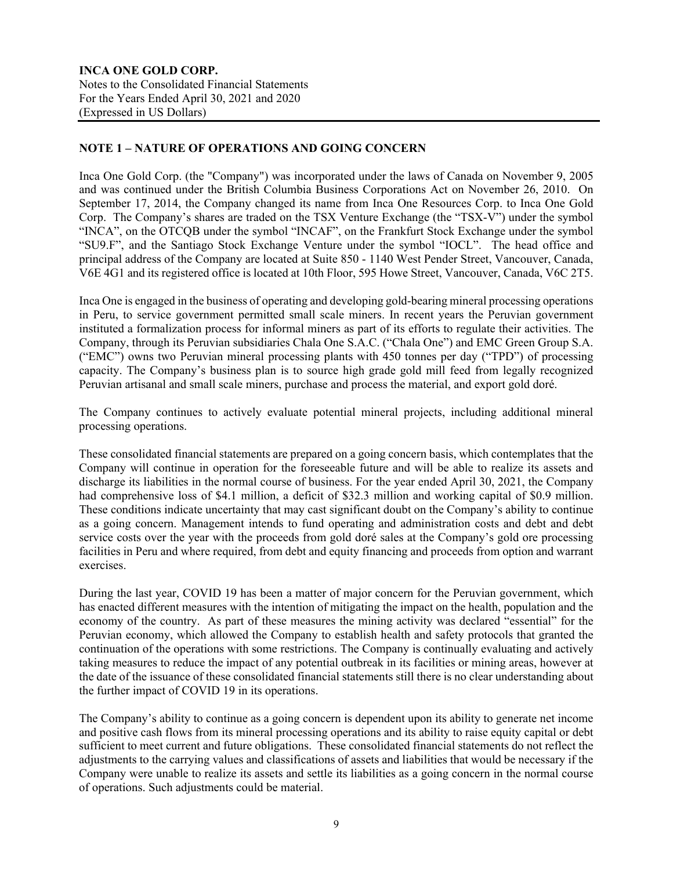## **NOTE 1 – NATURE OF OPERATIONS AND GOING CONCERN**

Inca One Gold Corp. (the "Company") was incorporated under the laws of Canada on November 9, 2005 and was continued under the British Columbia Business Corporations Act on November 26, 2010. On September 17, 2014, the Company changed its name from Inca One Resources Corp. to Inca One Gold Corp. The Company's shares are traded on the TSX Venture Exchange (the "TSX-V") under the symbol "INCA", on the OTCQB under the symbol "INCAF", on the Frankfurt Stock Exchange under the symbol "SU9.F", and the Santiago Stock Exchange Venture under the symbol "IOCL". The head office and principal address of the Company are located at Suite 850 - 1140 West Pender Street, Vancouver, Canada, V6E 4G1 and its registered office is located at 10th Floor, 595 Howe Street, Vancouver, Canada, V6C 2T5.

Inca One is engaged in the business of operating and developing gold-bearing mineral processing operations in Peru, to service government permitted small scale miners. In recent years the Peruvian government instituted a formalization process for informal miners as part of its efforts to regulate their activities. The Company, through its Peruvian subsidiaries Chala One S.A.C. ("Chala One") and EMC Green Group S.A. ("EMC") owns two Peruvian mineral processing plants with 450 tonnes per day ("TPD") of processing capacity. The Company's business plan is to source high grade gold mill feed from legally recognized Peruvian artisanal and small scale miners, purchase and process the material, and export gold doré.

The Company continues to actively evaluate potential mineral projects, including additional mineral processing operations.

These consolidated financial statements are prepared on a going concern basis, which contemplates that the Company will continue in operation for the foreseeable future and will be able to realize its assets and discharge its liabilities in the normal course of business. For the year ended April 30, 2021, the Company had comprehensive loss of \$4.1 million, a deficit of \$32.3 million and working capital of \$0.9 million. These conditions indicate uncertainty that may cast significant doubt on the Company's ability to continue as a going concern. Management intends to fund operating and administration costs and debt and debt service costs over the year with the proceeds from gold doré sales at the Company's gold ore processing facilities in Peru and where required, from debt and equity financing and proceeds from option and warrant exercises.

During the last year, COVID 19 has been a matter of major concern for the Peruvian government, which has enacted different measures with the intention of mitigating the impact on the health, population and the economy of the country. As part of these measures the mining activity was declared "essential" for the Peruvian economy, which allowed the Company to establish health and safety protocols that granted the continuation of the operations with some restrictions. The Company is continually evaluating and actively taking measures to reduce the impact of any potential outbreak in its facilities or mining areas, however at the date of the issuance of these consolidated financial statements still there is no clear understanding about the further impact of COVID 19 in its operations.

The Company's ability to continue as a going concern is dependent upon its ability to generate net income and positive cash flows from its mineral processing operations and its ability to raise equity capital or debt sufficient to meet current and future obligations. These consolidated financial statements do not reflect the adjustments to the carrying values and classifications of assets and liabilities that would be necessary if the Company were unable to realize its assets and settle its liabilities as a going concern in the normal course of operations. Such adjustments could be material.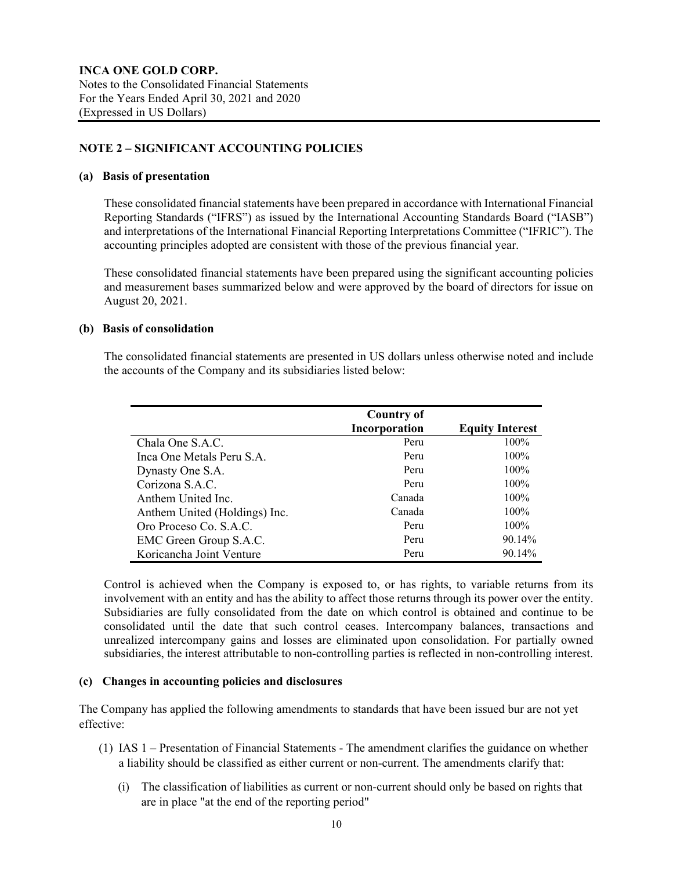## **NOTE 2 – SIGNIFICANT ACCOUNTING POLICIES**

#### **(a) Basis of presentation**

These consolidated financial statements have been prepared in accordance with International Financial Reporting Standards ("IFRS") as issued by the International Accounting Standards Board ("IASB") and interpretations of the International Financial Reporting Interpretations Committee ("IFRIC"). The accounting principles adopted are consistent with those of the previous financial year.

These consolidated financial statements have been prepared using the significant accounting policies and measurement bases summarized below and were approved by the board of directors for issue on August 20, 2021.

#### **(b) Basis of consolidation**

The consolidated financial statements are presented in US dollars unless otherwise noted and include the accounts of the Company and its subsidiaries listed below:

|                               | <b>Country of</b><br>Incorporation | <b>Equity Interest</b> |
|-------------------------------|------------------------------------|------------------------|
| Chala One S.A.C.              | Peru                               | 100%                   |
| Inca One Metals Peru S.A.     | Peru                               | 100%                   |
| Dynasty One S.A.              | Peru                               | $100\%$                |
| Corizona S.A.C.               | Peru                               | $100\%$                |
| Anthem United Inc.            | Canada                             | 100%                   |
| Anthem United (Holdings) Inc. | Canada                             | 100%                   |
| Oro Proceso Co. S.A.C.        | Peru                               | 100%                   |
| EMC Green Group S.A.C.        | Peru                               | 90.14%                 |
| Koricancha Joint Venture      | Peru                               | 90.14%                 |

Control is achieved when the Company is exposed to, or has rights, to variable returns from its involvement with an entity and has the ability to affect those returns through its power over the entity. Subsidiaries are fully consolidated from the date on which control is obtained and continue to be consolidated until the date that such control ceases. Intercompany balances, transactions and unrealized intercompany gains and losses are eliminated upon consolidation. For partially owned subsidiaries, the interest attributable to non-controlling parties is reflected in non-controlling interest.

#### **(c) Changes in accounting policies and disclosures**

The Company has applied the following amendments to standards that have been issued bur are not yet effective:

- (1) IAS 1 Presentation of Financial Statements The amendment clarifies the guidance on whether a liability should be classified as either current or non-current. The amendments clarify that:
	- (i) The classification of liabilities as current or non-current should only be based on rights that are in place "at the end of the reporting period"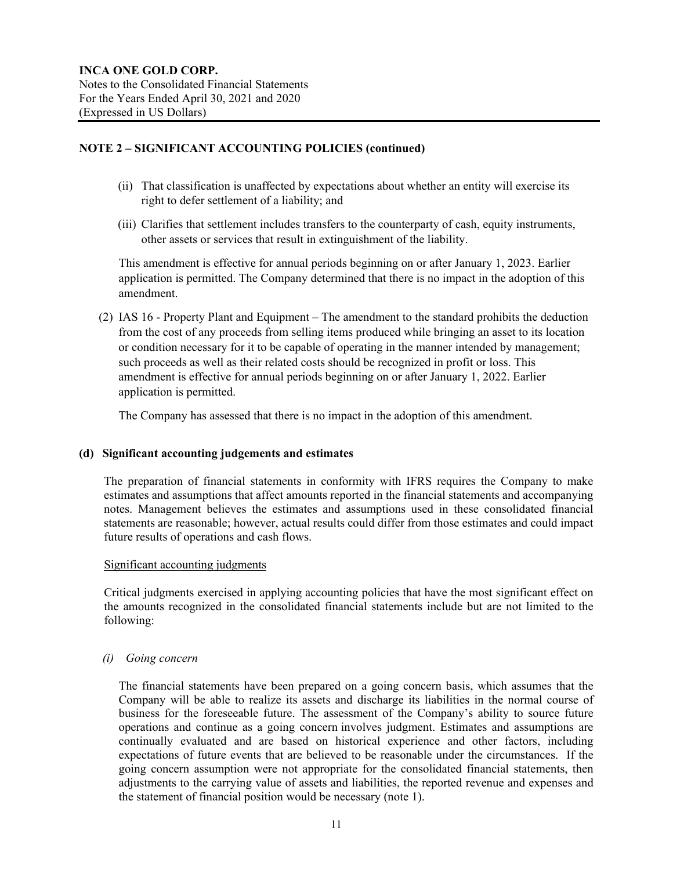- (ii) That classification is unaffected by expectations about whether an entity will exercise its right to defer settlement of a liability; and
- (iii) Clarifies that settlement includes transfers to the counterparty of cash, equity instruments, other assets or services that result in extinguishment of the liability.

This amendment is effective for annual periods beginning on or after January 1, 2023. Earlier application is permitted. The Company determined that there is no impact in the adoption of this amendment.

(2) IAS 16 - Property Plant and Equipment – The amendment to the standard prohibits the deduction from the cost of any proceeds from selling items produced while bringing an asset to its location or condition necessary for it to be capable of operating in the manner intended by management; such proceeds as well as their related costs should be recognized in profit or loss. This amendment is effective for annual periods beginning on or after January 1, 2022. Earlier application is permitted.

The Company has assessed that there is no impact in the adoption of this amendment.

#### **(d) Significant accounting judgements and estimates**

The preparation of financial statements in conformity with IFRS requires the Company to make estimates and assumptions that affect amounts reported in the financial statements and accompanying notes. Management believes the estimates and assumptions used in these consolidated financial statements are reasonable; however, actual results could differ from those estimates and could impact future results of operations and cash flows.

#### Significant accounting judgments

Critical judgments exercised in applying accounting policies that have the most significant effect on the amounts recognized in the consolidated financial statements include but are not limited to the following:

#### *(i) Going concern*

The financial statements have been prepared on a going concern basis, which assumes that the Company will be able to realize its assets and discharge its liabilities in the normal course of business for the foreseeable future. The assessment of the Company's ability to source future operations and continue as a going concern involves judgment. Estimates and assumptions are continually evaluated and are based on historical experience and other factors, including expectations of future events that are believed to be reasonable under the circumstances. If the going concern assumption were not appropriate for the consolidated financial statements, then adjustments to the carrying value of assets and liabilities, the reported revenue and expenses and the statement of financial position would be necessary (note 1).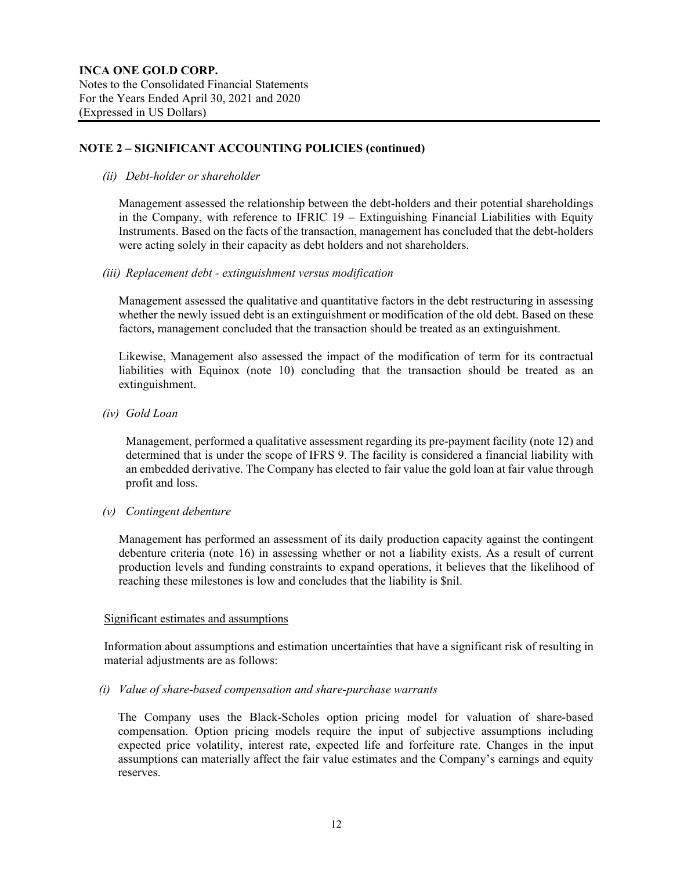*(ii) Debt-holder or shareholder*

Management assessed the relationship between the debt-holders and their potential shareholdings in the Company, with reference to IFRIC 19 – Extinguishing Financial Liabilities with Equity Instruments. Based on the facts of the transaction, management has concluded that the debt-holders were acting solely in their capacity as debt holders and not shareholders.

*(iii) Replacement debt - extinguishment versus modification*

Management assessed the qualitative and quantitative factors in the debt restructuring in assessing whether the newly issued debt is an extinguishment or modification of the old debt. Based on these factors, management concluded that the transaction should be treated as an extinguishment.

Likewise, Management also assessed the impact of the modification of term for its contractual liabilities with Equinox (note 10) concluding that the transaction should be treated as an extinguishment.

*(iv) Gold Loan* 

Management, performed a qualitative assessment regarding its pre-payment facility (note 12) and determined that is under the scope of IFRS 9. The facility is considered a financial liability with an embedded derivative. The Company has elected to fair value the gold loan at fair value through profit and loss.

*(v) Contingent debenture*

Management has performed an assessment of its daily production capacity against the contingent debenture criteria (note 16) in assessing whether or not a liability exists. As a result of current production levels and funding constraints to expand operations, it believes that the likelihood of reaching these milestones is low and concludes that the liability is \$nil.

#### Significant estimates and assumptions

Information about assumptions and estimation uncertainties that have a significant risk of resulting in material adjustments are as follows:

## *(i) Value of share-based compensation and share-purchase warrants*

The Company uses the Black-Scholes option pricing model for valuation of share-based compensation. Option pricing models require the input of subjective assumptions including expected price volatility, interest rate, expected life and forfeiture rate. Changes in the input assumptions can materially affect the fair value estimates and the Company's earnings and equity reserves.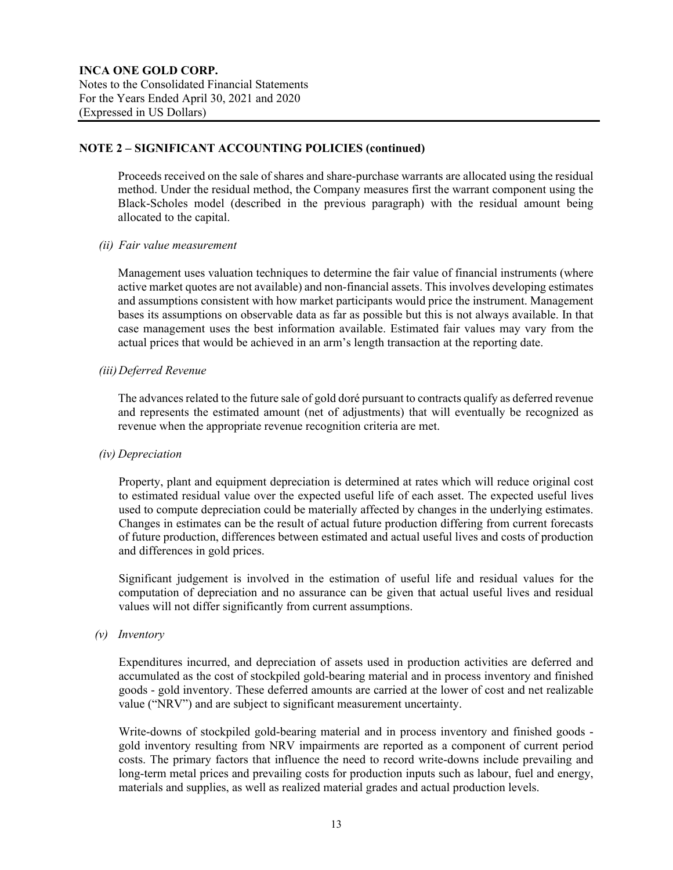Proceeds received on the sale of shares and share-purchase warrants are allocated using the residual method. Under the residual method, the Company measures first the warrant component using the Black-Scholes model (described in the previous paragraph) with the residual amount being allocated to the capital.

#### *(ii) Fair value measurement*

Management uses valuation techniques to determine the fair value of financial instruments (where active market quotes are not available) and non-financial assets. This involves developing estimates and assumptions consistent with how market participants would price the instrument. Management bases its assumptions on observable data as far as possible but this is not always available. In that case management uses the best information available. Estimated fair values may vary from the actual prices that would be achieved in an arm's length transaction at the reporting date.

#### *(iii)Deferred Revenue*

The advances related to the future sale of gold doré pursuant to contracts qualify as deferred revenue and represents the estimated amount (net of adjustments) that will eventually be recognized as revenue when the appropriate revenue recognition criteria are met.

#### *(iv) Depreciation*

Property, plant and equipment depreciation is determined at rates which will reduce original cost to estimated residual value over the expected useful life of each asset. The expected useful lives used to compute depreciation could be materially affected by changes in the underlying estimates. Changes in estimates can be the result of actual future production differing from current forecasts of future production, differences between estimated and actual useful lives and costs of production and differences in gold prices.

Significant judgement is involved in the estimation of useful life and residual values for the computation of depreciation and no assurance can be given that actual useful lives and residual values will not differ significantly from current assumptions.

## *(v) Inventory*

Expenditures incurred, and depreciation of assets used in production activities are deferred and accumulated as the cost of stockpiled gold-bearing material and in process inventory and finished goods - gold inventory. These deferred amounts are carried at the lower of cost and net realizable value ("NRV") and are subject to significant measurement uncertainty.

Write-downs of stockpiled gold-bearing material and in process inventory and finished goods gold inventory resulting from NRV impairments are reported as a component of current period costs. The primary factors that influence the need to record write-downs include prevailing and long-term metal prices and prevailing costs for production inputs such as labour, fuel and energy, materials and supplies, as well as realized material grades and actual production levels.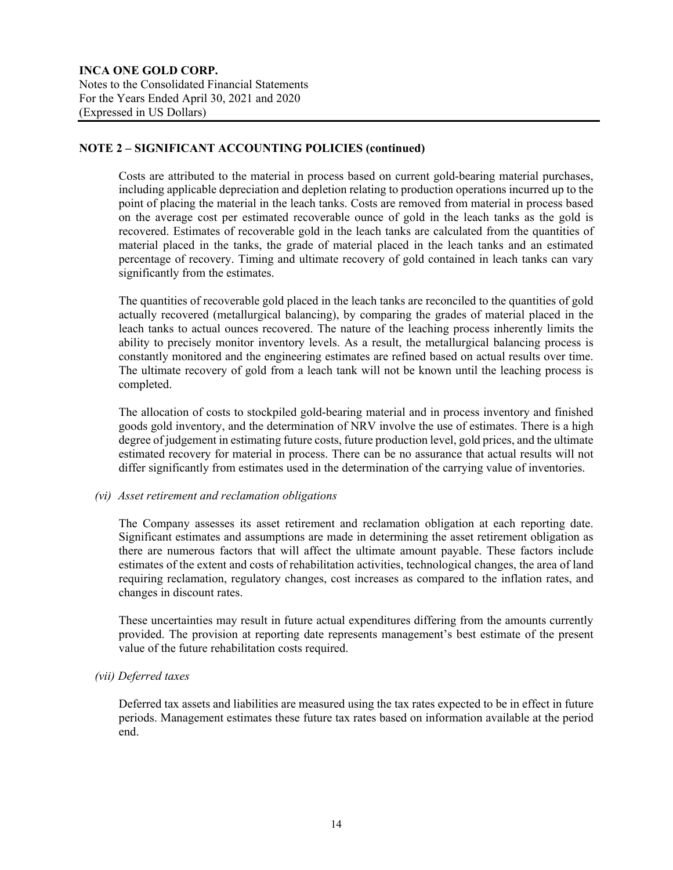Costs are attributed to the material in process based on current gold-bearing material purchases, including applicable depreciation and depletion relating to production operations incurred up to the point of placing the material in the leach tanks. Costs are removed from material in process based on the average cost per estimated recoverable ounce of gold in the leach tanks as the gold is recovered. Estimates of recoverable gold in the leach tanks are calculated from the quantities of material placed in the tanks, the grade of material placed in the leach tanks and an estimated percentage of recovery. Timing and ultimate recovery of gold contained in leach tanks can vary significantly from the estimates.

The quantities of recoverable gold placed in the leach tanks are reconciled to the quantities of gold actually recovered (metallurgical balancing), by comparing the grades of material placed in the leach tanks to actual ounces recovered. The nature of the leaching process inherently limits the ability to precisely monitor inventory levels. As a result, the metallurgical balancing process is constantly monitored and the engineering estimates are refined based on actual results over time. The ultimate recovery of gold from a leach tank will not be known until the leaching process is completed.

The allocation of costs to stockpiled gold-bearing material and in process inventory and finished goods gold inventory, and the determination of NRV involve the use of estimates. There is a high degree of judgement in estimating future costs, future production level, gold prices, and the ultimate estimated recovery for material in process. There can be no assurance that actual results will not differ significantly from estimates used in the determination of the carrying value of inventories.

## *(vi) Asset retirement and reclamation obligations*

The Company assesses its asset retirement and reclamation obligation at each reporting date. Significant estimates and assumptions are made in determining the asset retirement obligation as there are numerous factors that will affect the ultimate amount payable. These factors include estimates of the extent and costs of rehabilitation activities, technological changes, the area of land requiring reclamation, regulatory changes, cost increases as compared to the inflation rates, and changes in discount rates.

These uncertainties may result in future actual expenditures differing from the amounts currently provided. The provision at reporting date represents management's best estimate of the present value of the future rehabilitation costs required.

## *(vii) Deferred taxes*

Deferred tax assets and liabilities are measured using the tax rates expected to be in effect in future periods. Management estimates these future tax rates based on information available at the period end.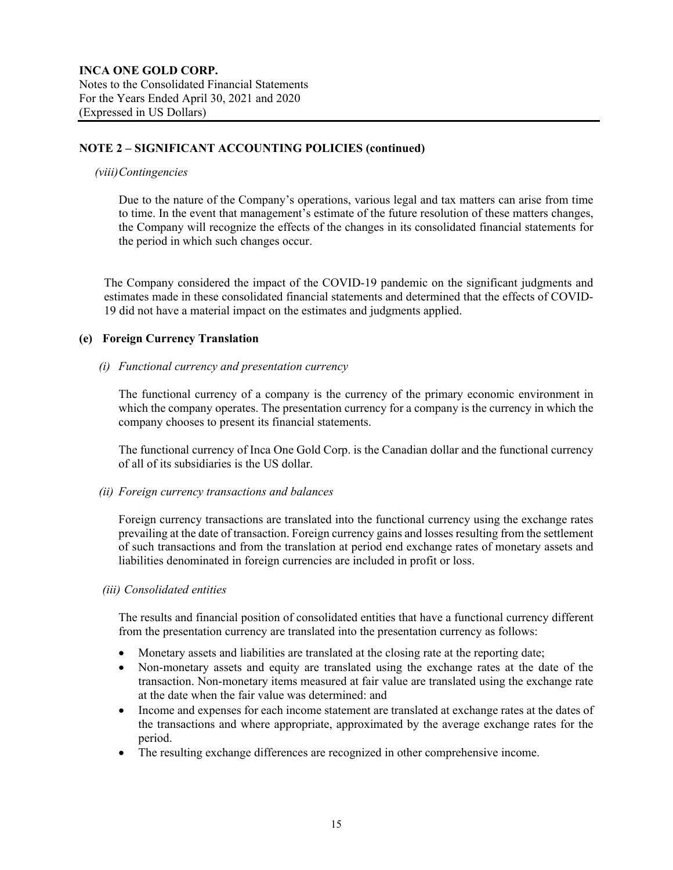#### *(viii)Contingencies*

Due to the nature of the Company's operations, various legal and tax matters can arise from time to time. In the event that management's estimate of the future resolution of these matters changes, the Company will recognize the effects of the changes in its consolidated financial statements for the period in which such changes occur.

The Company considered the impact of the COVID-19 pandemic on the significant judgments and estimates made in these consolidated financial statements and determined that the effects of COVID-19 did not have a material impact on the estimates and judgments applied.

#### **(e) Foreign Currency Translation**

#### *(i) Functional currency and presentation currency*

The functional currency of a company is the currency of the primary economic environment in which the company operates. The presentation currency for a company is the currency in which the company chooses to present its financial statements.

The functional currency of Inca One Gold Corp. is the Canadian dollar and the functional currency of all of its subsidiaries is the US dollar.

#### *(ii) Foreign currency transactions and balances*

Foreign currency transactions are translated into the functional currency using the exchange rates prevailing at the date of transaction. Foreign currency gains and losses resulting from the settlement of such transactions and from the translation at period end exchange rates of monetary assets and liabilities denominated in foreign currencies are included in profit or loss.

#### *(iii) Consolidated entities*

The results and financial position of consolidated entities that have a functional currency different from the presentation currency are translated into the presentation currency as follows:

- Monetary assets and liabilities are translated at the closing rate at the reporting date;
- Non-monetary assets and equity are translated using the exchange rates at the date of the transaction. Non-monetary items measured at fair value are translated using the exchange rate at the date when the fair value was determined: and
- Income and expenses for each income statement are translated at exchange rates at the dates of the transactions and where appropriate, approximated by the average exchange rates for the period.
- The resulting exchange differences are recognized in other comprehensive income.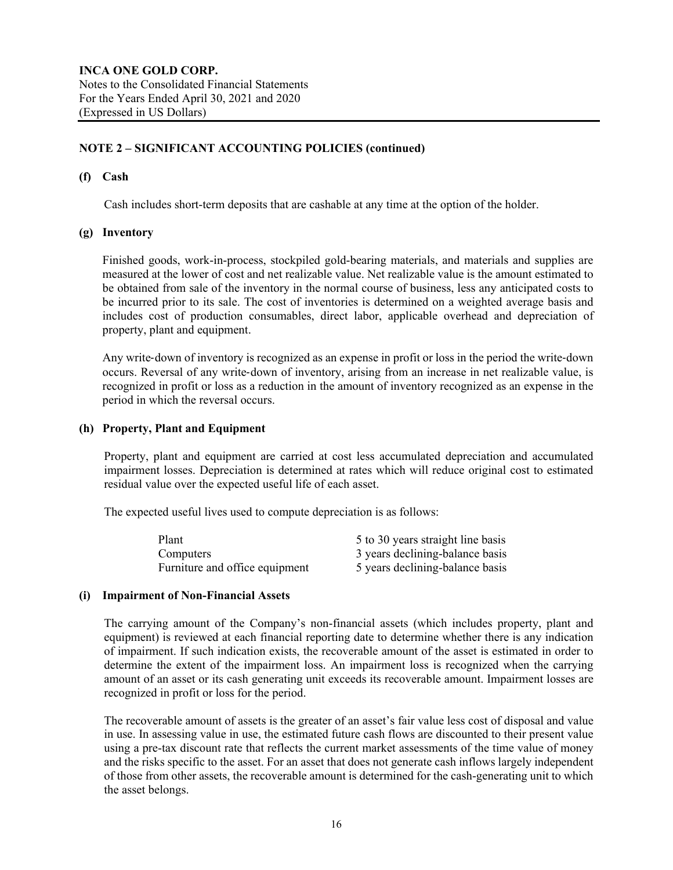#### **(f) Cash**

Cash includes short-term deposits that are cashable at any time at the option of the holder.

#### **(g) Inventory**

Finished goods, work-in-process, stockpiled gold-bearing materials, and materials and supplies are measured at the lower of cost and net realizable value. Net realizable value is the amount estimated to be obtained from sale of the inventory in the normal course of business, less any anticipated costs to be incurred prior to its sale. The cost of inventories is determined on a weighted average basis and includes cost of production consumables, direct labor, applicable overhead and depreciation of property, plant and equipment.

Any write-down of inventory is recognized as an expense in profit or loss in the period the write-down occurs. Reversal of any write‐down of inventory, arising from an increase in net realizable value, is recognized in profit or loss as a reduction in the amount of inventory recognized as an expense in the period in which the reversal occurs.

#### **(h) Property, Plant and Equipment**

Property, plant and equipment are carried at cost less accumulated depreciation and accumulated impairment losses. Depreciation is determined at rates which will reduce original cost to estimated residual value over the expected useful life of each asset.

The expected useful lives used to compute depreciation is as follows:

| Plant                          | 5 to 30 years straight line basis |
|--------------------------------|-----------------------------------|
| Computers                      | 3 years declining-balance basis   |
| Furniture and office equipment | 5 years declining-balance basis   |

#### **(i) Impairment of Non-Financial Assets**

The carrying amount of the Company's non-financial assets (which includes property, plant and equipment) is reviewed at each financial reporting date to determine whether there is any indication of impairment. If such indication exists, the recoverable amount of the asset is estimated in order to determine the extent of the impairment loss. An impairment loss is recognized when the carrying amount of an asset or its cash generating unit exceeds its recoverable amount. Impairment losses are recognized in profit or loss for the period.

The recoverable amount of assets is the greater of an asset's fair value less cost of disposal and value in use. In assessing value in use, the estimated future cash flows are discounted to their present value using a pre-tax discount rate that reflects the current market assessments of the time value of money and the risks specific to the asset. For an asset that does not generate cash inflows largely independent of those from other assets, the recoverable amount is determined for the cash-generating unit to which the asset belongs.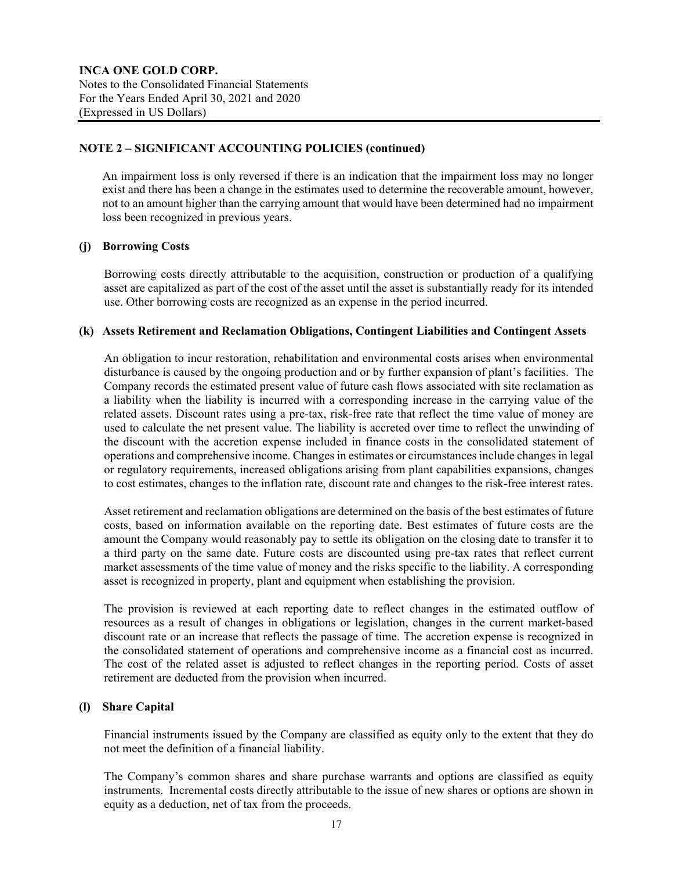An impairment loss is only reversed if there is an indication that the impairment loss may no longer exist and there has been a change in the estimates used to determine the recoverable amount, however, not to an amount higher than the carrying amount that would have been determined had no impairment loss been recognized in previous years.

## **(j) Borrowing Costs**

Borrowing costs directly attributable to the acquisition, construction or production of a qualifying asset are capitalized as part of the cost of the asset until the asset is substantially ready for its intended use. Other borrowing costs are recognized as an expense in the period incurred.

#### **(k) Assets Retirement and Reclamation Obligations, Contingent Liabilities and Contingent Assets**

An obligation to incur restoration, rehabilitation and environmental costs arises when environmental disturbance is caused by the ongoing production and or by further expansion of plant's facilities. The Company records the estimated present value of future cash flows associated with site reclamation as a liability when the liability is incurred with a corresponding increase in the carrying value of the related assets. Discount rates using a pre-tax, risk-free rate that reflect the time value of money are used to calculate the net present value. The liability is accreted over time to reflect the unwinding of the discount with the accretion expense included in finance costs in the consolidated statement of operations and comprehensive income. Changes in estimates or circumstances include changes in legal or regulatory requirements, increased obligations arising from plant capabilities expansions, changes to cost estimates, changes to the inflation rate, discount rate and changes to the risk-free interest rates.

Asset retirement and reclamation obligations are determined on the basis of the best estimates of future costs, based on information available on the reporting date. Best estimates of future costs are the amount the Company would reasonably pay to settle its obligation on the closing date to transfer it to a third party on the same date. Future costs are discounted using pre-tax rates that reflect current market assessments of the time value of money and the risks specific to the liability. A corresponding asset is recognized in property, plant and equipment when establishing the provision.

The provision is reviewed at each reporting date to reflect changes in the estimated outflow of resources as a result of changes in obligations or legislation, changes in the current market-based discount rate or an increase that reflects the passage of time. The accretion expense is recognized in the consolidated statement of operations and comprehensive income as a financial cost as incurred. The cost of the related asset is adjusted to reflect changes in the reporting period. Costs of asset retirement are deducted from the provision when incurred.

#### **(l) Share Capital**

Financial instruments issued by the Company are classified as equity only to the extent that they do not meet the definition of a financial liability.

The Company's common shares and share purchase warrants and options are classified as equity instruments. Incremental costs directly attributable to the issue of new shares or options are shown in equity as a deduction, net of tax from the proceeds.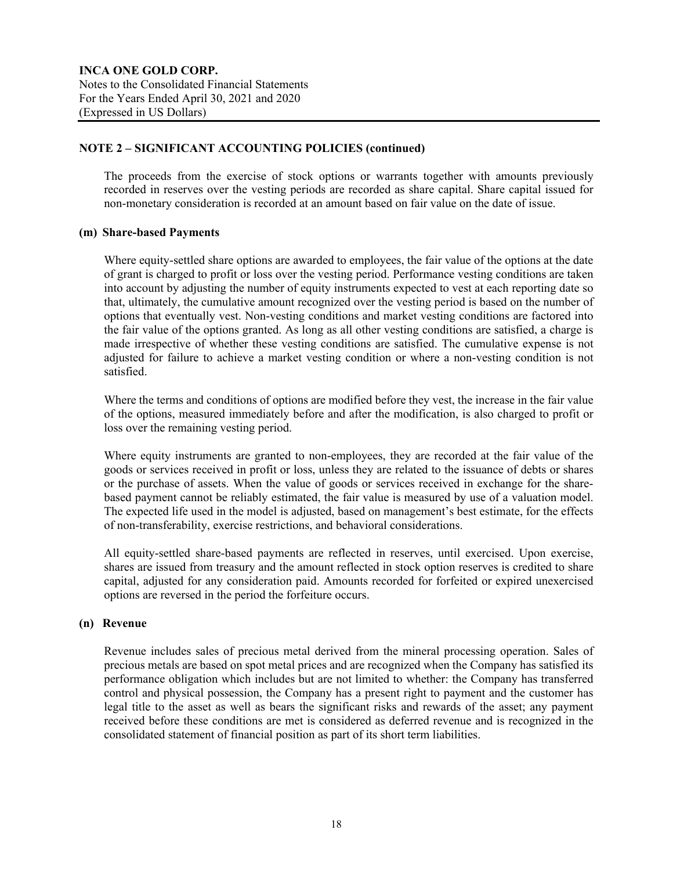The proceeds from the exercise of stock options or warrants together with amounts previously recorded in reserves over the vesting periods are recorded as share capital. Share capital issued for non-monetary consideration is recorded at an amount based on fair value on the date of issue.

#### **(m) Share-based Payments**

Where equity-settled share options are awarded to employees, the fair value of the options at the date of grant is charged to profit or loss over the vesting period. Performance vesting conditions are taken into account by adjusting the number of equity instruments expected to vest at each reporting date so that, ultimately, the cumulative amount recognized over the vesting period is based on the number of options that eventually vest. Non-vesting conditions and market vesting conditions are factored into the fair value of the options granted. As long as all other vesting conditions are satisfied, a charge is made irrespective of whether these vesting conditions are satisfied. The cumulative expense is not adjusted for failure to achieve a market vesting condition or where a non-vesting condition is not satisfied.

Where the terms and conditions of options are modified before they vest, the increase in the fair value of the options, measured immediately before and after the modification, is also charged to profit or loss over the remaining vesting period.

Where equity instruments are granted to non-employees, they are recorded at the fair value of the goods or services received in profit or loss, unless they are related to the issuance of debts or shares or the purchase of assets. When the value of goods or services received in exchange for the sharebased payment cannot be reliably estimated, the fair value is measured by use of a valuation model. The expected life used in the model is adjusted, based on management's best estimate, for the effects of non-transferability, exercise restrictions, and behavioral considerations.

All equity-settled share-based payments are reflected in reserves, until exercised. Upon exercise, shares are issued from treasury and the amount reflected in stock option reserves is credited to share capital, adjusted for any consideration paid. Amounts recorded for forfeited or expired unexercised options are reversed in the period the forfeiture occurs.

#### **(n) Revenue**

Revenue includes sales of precious metal derived from the mineral processing operation. Sales of precious metals are based on spot metal prices and are recognized when the Company has satisfied its performance obligation which includes but are not limited to whether: the Company has transferred control and physical possession, the Company has a present right to payment and the customer has legal title to the asset as well as bears the significant risks and rewards of the asset; any payment received before these conditions are met is considered as deferred revenue and is recognized in the consolidated statement of financial position as part of its short term liabilities.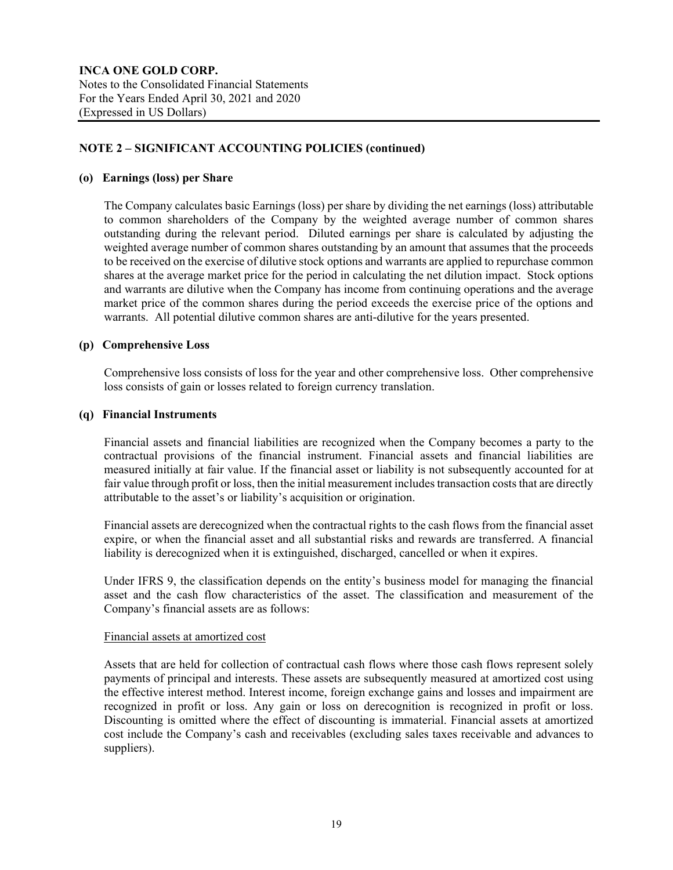#### **(o) Earnings (loss) per Share**

The Company calculates basic Earnings (loss) per share by dividing the net earnings (loss) attributable to common shareholders of the Company by the weighted average number of common shares outstanding during the relevant period. Diluted earnings per share is calculated by adjusting the weighted average number of common shares outstanding by an amount that assumes that the proceeds to be received on the exercise of dilutive stock options and warrants are applied to repurchase common shares at the average market price for the period in calculating the net dilution impact. Stock options and warrants are dilutive when the Company has income from continuing operations and the average market price of the common shares during the period exceeds the exercise price of the options and warrants. All potential dilutive common shares are anti-dilutive for the years presented.

#### **(p) Comprehensive Loss**

Comprehensive loss consists of loss for the year and other comprehensive loss. Other comprehensive loss consists of gain or losses related to foreign currency translation.

#### **(q) Financial Instruments**

Financial assets and financial liabilities are recognized when the Company becomes a party to the contractual provisions of the financial instrument. Financial assets and financial liabilities are measured initially at fair value. If the financial asset or liability is not subsequently accounted for at fair value through profit or loss, then the initial measurement includes transaction costs that are directly attributable to the asset's or liability's acquisition or origination.

Financial assets are derecognized when the contractual rights to the cash flows from the financial asset expire, or when the financial asset and all substantial risks and rewards are transferred. A financial liability is derecognized when it is extinguished, discharged, cancelled or when it expires.

Under IFRS 9, the classification depends on the entity's business model for managing the financial asset and the cash flow characteristics of the asset. The classification and measurement of the Company's financial assets are as follows:

#### Financial assets at amortized cost

Assets that are held for collection of contractual cash flows where those cash flows represent solely payments of principal and interests. These assets are subsequently measured at amortized cost using the effective interest method. Interest income, foreign exchange gains and losses and impairment are recognized in profit or loss. Any gain or loss on derecognition is recognized in profit or loss. Discounting is omitted where the effect of discounting is immaterial. Financial assets at amortized cost include the Company's cash and receivables (excluding sales taxes receivable and advances to suppliers).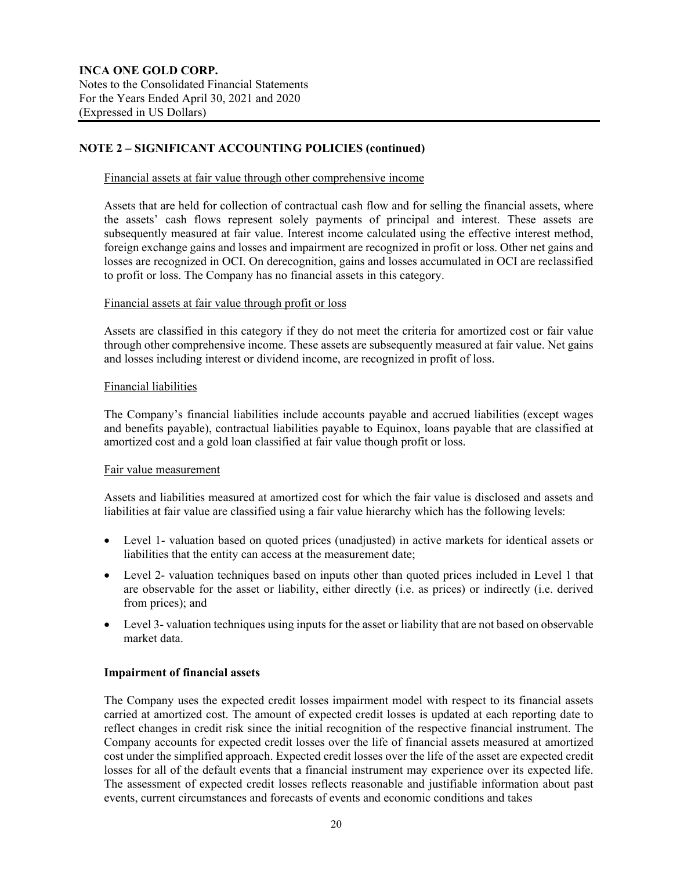#### Financial assets at fair value through other comprehensive income

Assets that are held for collection of contractual cash flow and for selling the financial assets, where the assets' cash flows represent solely payments of principal and interest. These assets are subsequently measured at fair value. Interest income calculated using the effective interest method, foreign exchange gains and losses and impairment are recognized in profit or loss. Other net gains and losses are recognized in OCI. On derecognition, gains and losses accumulated in OCI are reclassified to profit or loss. The Company has no financial assets in this category.

#### Financial assets at fair value through profit or loss

Assets are classified in this category if they do not meet the criteria for amortized cost or fair value through other comprehensive income. These assets are subsequently measured at fair value. Net gains and losses including interest or dividend income, are recognized in profit of loss.

#### Financial liabilities

The Company's financial liabilities include accounts payable and accrued liabilities (except wages and benefits payable), contractual liabilities payable to Equinox, loans payable that are classified at amortized cost and a gold loan classified at fair value though profit or loss.

#### Fair value measurement

Assets and liabilities measured at amortized cost for which the fair value is disclosed and assets and liabilities at fair value are classified using a fair value hierarchy which has the following levels:

- Level 1- valuation based on quoted prices (unadjusted) in active markets for identical assets or liabilities that the entity can access at the measurement date;
- Level 2- valuation techniques based on inputs other than quoted prices included in Level 1 that are observable for the asset or liability, either directly (i.e. as prices) or indirectly (i.e. derived from prices); and
- Level 3- valuation techniques using inputs for the asset or liability that are not based on observable market data.

## **Impairment of financial assets**

The Company uses the expected credit losses impairment model with respect to its financial assets carried at amortized cost. The amount of expected credit losses is updated at each reporting date to reflect changes in credit risk since the initial recognition of the respective financial instrument. The Company accounts for expected credit losses over the life of financial assets measured at amortized cost under the simplified approach. Expected credit losses over the life of the asset are expected credit losses for all of the default events that a financial instrument may experience over its expected life. The assessment of expected credit losses reflects reasonable and justifiable information about past events, current circumstances and forecasts of events and economic conditions and takes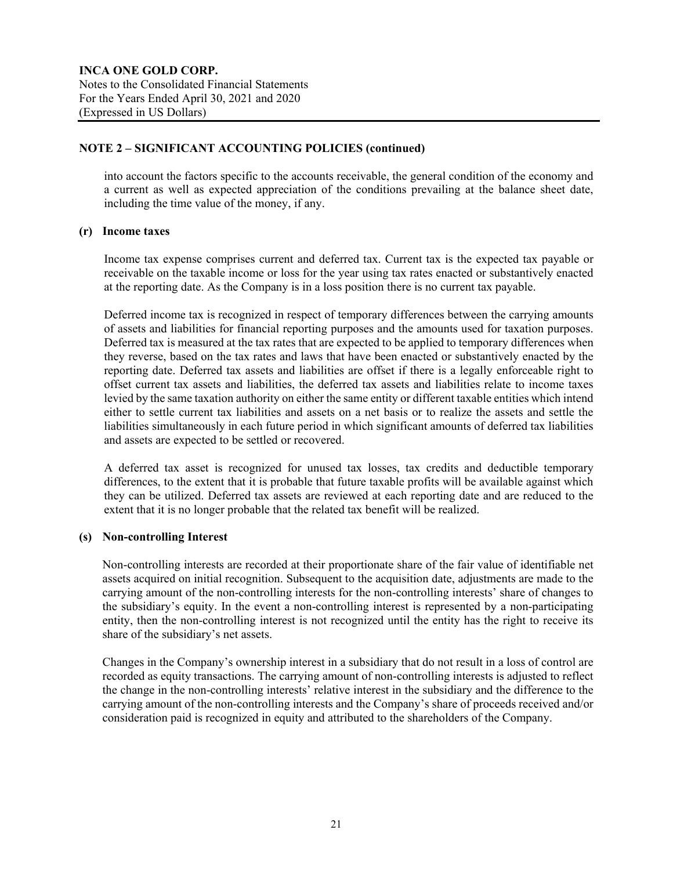into account the factors specific to the accounts receivable, the general condition of the economy and a current as well as expected appreciation of the conditions prevailing at the balance sheet date, including the time value of the money, if any.

#### **(r) Income taxes**

Income tax expense comprises current and deferred tax. Current tax is the expected tax payable or receivable on the taxable income or loss for the year using tax rates enacted or substantively enacted at the reporting date. As the Company is in a loss position there is no current tax payable.

Deferred income tax is recognized in respect of temporary differences between the carrying amounts of assets and liabilities for financial reporting purposes and the amounts used for taxation purposes. Deferred tax is measured at the tax rates that are expected to be applied to temporary differences when they reverse, based on the tax rates and laws that have been enacted or substantively enacted by the reporting date. Deferred tax assets and liabilities are offset if there is a legally enforceable right to offset current tax assets and liabilities, the deferred tax assets and liabilities relate to income taxes levied by the same taxation authority on either the same entity or different taxable entities which intend either to settle current tax liabilities and assets on a net basis or to realize the assets and settle the liabilities simultaneously in each future period in which significant amounts of deferred tax liabilities and assets are expected to be settled or recovered.

A deferred tax asset is recognized for unused tax losses, tax credits and deductible temporary differences, to the extent that it is probable that future taxable profits will be available against which they can be utilized. Deferred tax assets are reviewed at each reporting date and are reduced to the extent that it is no longer probable that the related tax benefit will be realized.

## **(s) Non-controlling Interest**

Non-controlling interests are recorded at their proportionate share of the fair value of identifiable net assets acquired on initial recognition. Subsequent to the acquisition date, adjustments are made to the carrying amount of the non-controlling interests for the non-controlling interests' share of changes to the subsidiary's equity. In the event a non-controlling interest is represented by a non-participating entity, then the non-controlling interest is not recognized until the entity has the right to receive its share of the subsidiary's net assets.

Changes in the Company's ownership interest in a subsidiary that do not result in a loss of control are recorded as equity transactions. The carrying amount of non-controlling interests is adjusted to reflect the change in the non-controlling interests' relative interest in the subsidiary and the difference to the carrying amount of the non-controlling interests and the Company's share of proceeds received and/or consideration paid is recognized in equity and attributed to the shareholders of the Company.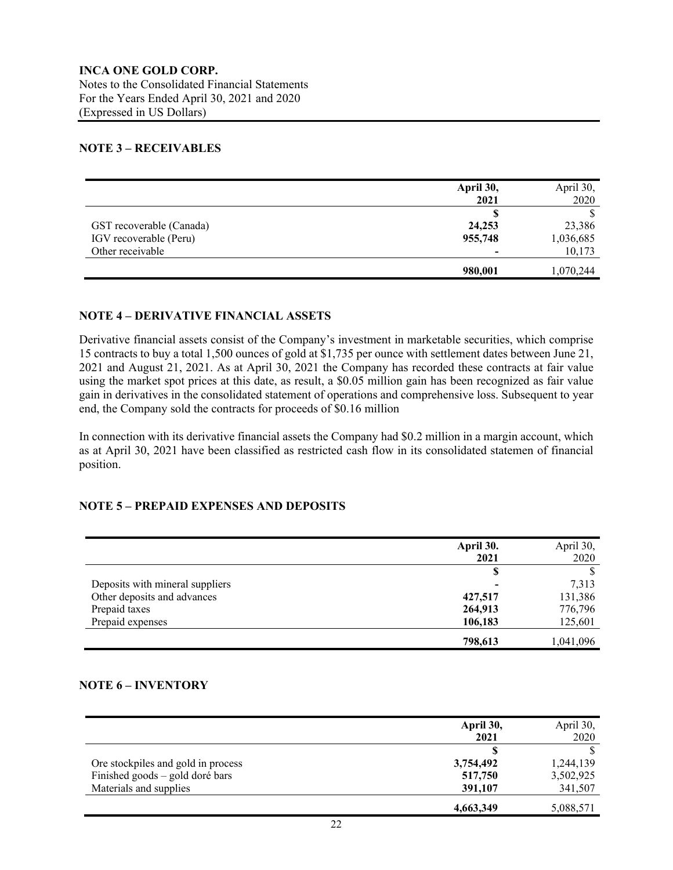## **NOTE 3 – RECEIVABLES**

|                          | April 30, | April 30, |
|--------------------------|-----------|-----------|
|                          | 2021      | 2020      |
|                          |           |           |
| GST recoverable (Canada) | 24,253    | 23,386    |
| IGV recoverable (Peru)   | 955,748   | 1,036,685 |
| Other receivable         |           | 10,173    |
|                          | 980,001   | 1,070,244 |

## **NOTE 4 – DERIVATIVE FINANCIAL ASSETS**

Derivative financial assets consist of the Company's investment in marketable securities, which comprise 15 contracts to buy a total 1,500 ounces of gold at \$1,735 per ounce with settlement dates between June 21, 2021 and August 21, 2021. As at April 30, 2021 the Company has recorded these contracts at fair value using the market spot prices at this date, as result, a \$0.05 million gain has been recognized as fair value gain in derivatives in the consolidated statement of operations and comprehensive loss. Subsequent to year end, the Company sold the contracts for proceeds of \$0.16 million

In connection with its derivative financial assets the Company had \$0.2 million in a margin account, which as at April 30, 2021 have been classified as restricted cash flow in its consolidated statemen of financial position.

## **NOTE 5 – PREPAID EXPENSES AND DEPOSITS**

|                                 | April 30. | April 30, |
|---------------------------------|-----------|-----------|
|                                 | 2021      | 2020      |
|                                 | S         |           |
| Deposits with mineral suppliers |           | 7,313     |
| Other deposits and advances     | 427,517   | 131,386   |
| Prepaid taxes                   | 264,913   | 776,796   |
| Prepaid expenses                | 106,183   | 125,601   |
|                                 | 798,613   | 1,041,096 |

#### **NOTE 6 – INVENTORY**

|                                    | April 30, | April 30, |
|------------------------------------|-----------|-----------|
|                                    | 2021      | 2020      |
|                                    |           |           |
| Ore stockpiles and gold in process | 3,754,492 | 1,244,139 |
| Finished goods – gold doré bars    | 517,750   | 3,502,925 |
| Materials and supplies             | 391,107   | 341,507   |
|                                    | 4,663,349 | 5,088,571 |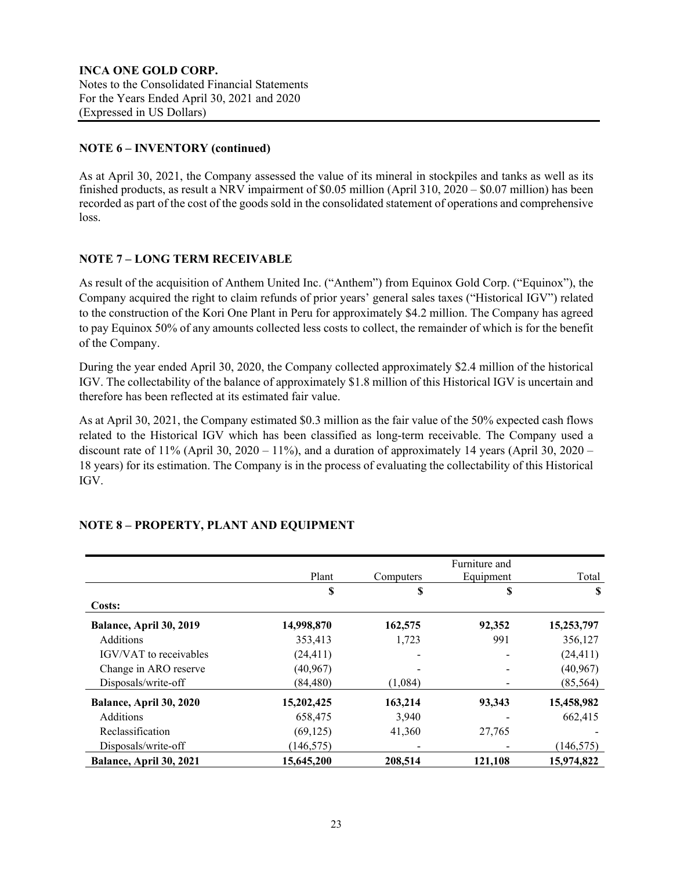## **NOTE 6 – INVENTORY (continued)**

As at April 30, 2021, the Company assessed the value of its mineral in stockpiles and tanks as well as its finished products, as result a NRV impairment of \$0.05 million (April 310, 2020 – \$0.07 million) has been recorded as part of the cost of the goods sold in the consolidated statement of operations and comprehensive loss.

## **NOTE 7 – LONG TERM RECEIVABLE**

As result of the acquisition of Anthem United Inc. ("Anthem") from Equinox Gold Corp. ("Equinox"), the Company acquired the right to claim refunds of prior years' general sales taxes ("Historical IGV") related to the construction of the Kori One Plant in Peru for approximately \$4.2 million. The Company has agreed to pay Equinox 50% of any amounts collected less costs to collect, the remainder of which is for the benefit of the Company.

During the year ended April 30, 2020, the Company collected approximately \$2.4 million of the historical IGV. The collectability of the balance of approximately \$1.8 million of this Historical IGV is uncertain and therefore has been reflected at its estimated fair value.

As at April 30, 2021, the Company estimated \$0.3 million as the fair value of the 50% expected cash flows related to the Historical IGV which has been classified as long-term receivable. The Company used a discount rate of  $11\%$  (April 30, 2020 –  $11\%$ ), and a duration of approximately 14 years (April 30, 2020 – 18 years) for its estimation. The Company is in the process of evaluating the collectability of this Historical IGV.

|                               |            |           | Furniture and |            |
|-------------------------------|------------|-----------|---------------|------------|
|                               | Plant      | Computers | Equipment     | Total      |
|                               | \$         | \$        | S             | S          |
| Costs:                        |            |           |               |            |
| Balance, April 30, 2019       | 14,998,870 | 162,575   | 92,352        | 15,253,797 |
| <b>Additions</b>              | 353,413    | 1,723     | 991           | 356,127    |
| <b>IGV/VAT</b> to receivables | (24, 411)  |           |               | (24, 411)  |
| Change in ARO reserve         | (40, 967)  |           |               | (40, 967)  |
| Disposals/write-off           | (84, 480)  | (1,084)   |               | (85, 564)  |
| Balance, April 30, 2020       | 15,202,425 | 163,214   | 93,343        | 15,458,982 |
| <b>Additions</b>              | 658,475    | 3,940     |               | 662,415    |
| Reclassification              | (69, 125)  | 41,360    | 27,765        |            |
| Disposals/write-off           | (146, 575) |           |               | (146, 575) |
| Balance, April 30, 2021       | 15,645,200 | 208,514   | 121,108       | 15,974,822 |

## **NOTE 8 – PROPERTY, PLANT AND EQUIPMENT**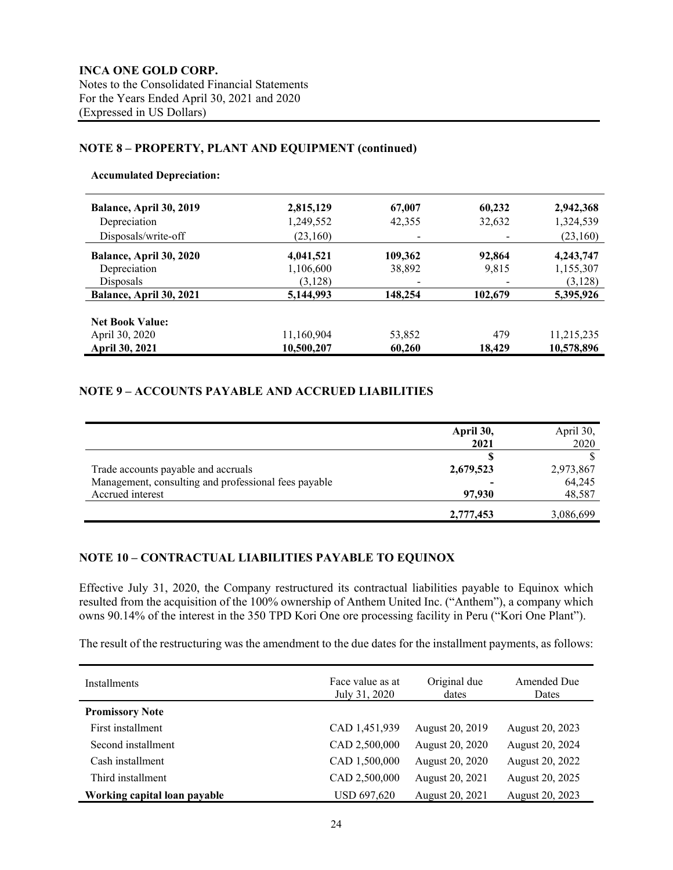## **NOTE 8 – PROPERTY, PLANT AND EQUIPMENT (continued)**

#### **Accumulated Depreciation:**

| Balance, April 30, 2019<br>Depreciation<br>Disposals/write-off | 2,815,129<br>1,249,552<br>(23,160) | 67,007<br>42,355<br>۰ | 60,232<br>32,632 | 2,942,368<br>1,324,539<br>(23,160) |
|----------------------------------------------------------------|------------------------------------|-----------------------|------------------|------------------------------------|
| Balance, April 30, 2020<br>Depreciation<br>Disposals           | 4,041,521<br>1,106,600<br>(3,128)  | 109,362<br>38,892     | 92,864<br>9,815  | 4,243,747<br>1,155,307<br>(3,128)  |
| Balance, April 30, 2021                                        | 5,144,993                          | 148,254               | 102,679          | 5,395,926                          |
| <b>Net Book Value:</b><br>April 30, 2020<br>April 30, 2021     | 11,160,904<br>10,500,207           | 53,852<br>60,260      | 479<br>18,429    | 11,215,235<br>10,578,896           |

#### **NOTE 9 – ACCOUNTS PAYABLE AND ACCRUED LIABILITIES**

|                                                      | April 30, | April 30, |
|------------------------------------------------------|-----------|-----------|
|                                                      | 2021      | 2020      |
|                                                      |           |           |
| Trade accounts payable and accruals                  | 2,679,523 | 2,973,867 |
| Management, consulting and professional fees payable |           | 64,245    |
| Accrued interest                                     | 97,930    | 48,587    |
|                                                      | 2,777,453 | 3,086,699 |

## **NOTE 10 – CONTRACTUAL LIABILITIES PAYABLE TO EQUINOX**

Effective July 31, 2020, the Company restructured its contractual liabilities payable to Equinox which resulted from the acquisition of the 100% ownership of Anthem United Inc. ("Anthem"), a company which owns 90.14% of the interest in the 350 TPD Kori One ore processing facility in Peru ("Kori One Plant").

The result of the restructuring was the amendment to the due dates for the installment payments, as follows:

| <b>Installments</b>          | Face value as at<br>July 31, 2020 | Original due<br>dates | Amended Due<br>Dates |
|------------------------------|-----------------------------------|-----------------------|----------------------|
| <b>Promissory Note</b>       |                                   |                       |                      |
| First installment            | CAD 1,451,939                     | August 20, 2019       | August 20, 2023      |
| Second installment           | CAD 2,500,000                     | August 20, 2020       | August 20, 2024      |
| Cash installment             | CAD 1,500,000                     | August 20, 2020       | August 20, 2022      |
| Third installment            | CAD 2,500,000                     | August 20, 2021       | August 20, 2025      |
| Working capital loan payable | <b>USD 697,620</b>                | August 20, 2021       | August 20, 2023      |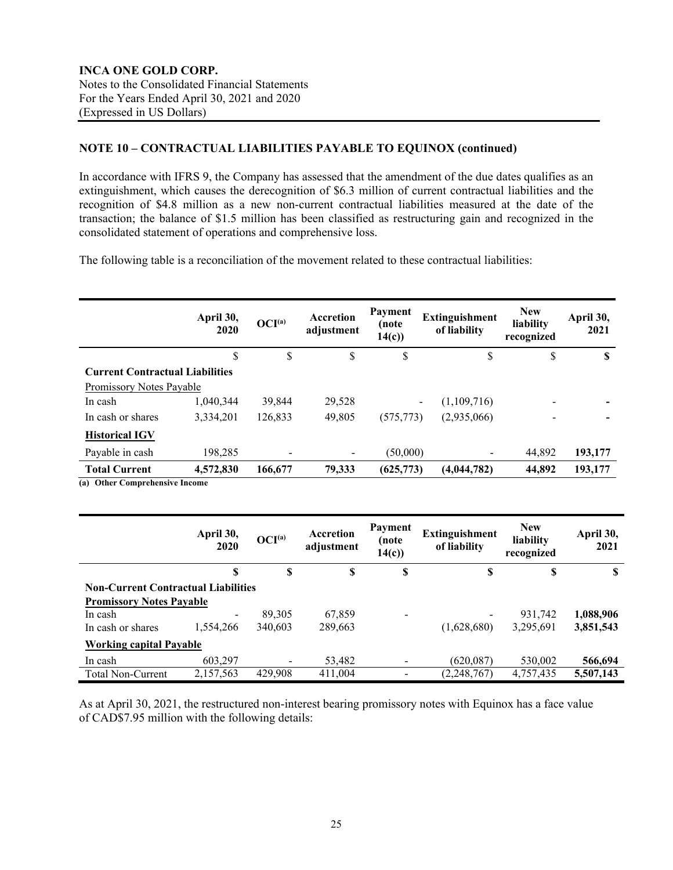## **NOTE 10 – CONTRACTUAL LIABILITIES PAYABLE TO EQUINOX (continued)**

In accordance with IFRS 9, the Company has assessed that the amendment of the due dates qualifies as an extinguishment, which causes the derecognition of \$6.3 million of current contractual liabilities and the recognition of \$4.8 million as a new non-current contractual liabilities measured at the date of the transaction; the balance of \$1.5 million has been classified as restructuring gain and recognized in the consolidated statement of operations and comprehensive loss.

The following table is a reconciliation of the movement related to these contractual liabilities:

|                                                        | April 30,<br>2020 | OCI <sup>(a)</sup> | <b>Accretion</b><br>adjustment | Payment<br>(note<br>14(c) | <b>Extinguishment</b><br>of liability   | <b>New</b><br>liability<br>recognized | April 30,<br>2021 |
|--------------------------------------------------------|-------------------|--------------------|--------------------------------|---------------------------|-----------------------------------------|---------------------------------------|-------------------|
|                                                        | S                 | S                  | \$                             | \$                        | \$                                      | \$                                    | S                 |
| <b>Current Contractual Liabilities</b>                 |                   |                    |                                |                           |                                         |                                       |                   |
| Promissory Notes Payable                               |                   |                    |                                |                           |                                         |                                       |                   |
| In cash                                                | 1,040,344         | 39.844             | 29,528                         |                           | (1,109,716)<br>$\overline{\phantom{a}}$ |                                       |                   |
| In cash or shares                                      | 3,334,201         | 126,833            | 49,805                         | (575, 773)                | (2,935,066)                             |                                       |                   |
| <b>Historical IGV</b>                                  |                   |                    |                                |                           |                                         |                                       |                   |
| Payable in cash                                        | 198,285           | -                  |                                | (50,000)                  | -                                       | 44.892                                | 193,177           |
| <b>Total Current</b><br>(a) Other Compushereive Income | 4,572,830         | 166,677            | 79,333                         | (625, 773)                | (4,044,782)                             | 44,892                                | 193,177           |

**(a) Other Comprehensive Income**

|                                            | April 30,<br>2020        | OCI <sup>(a)</sup> | Accretion<br>adjustment | Payment<br>(note<br>14(c) | <b>Extinguishment</b><br>of liability | <b>New</b><br>liability<br>recognized | April 30,<br>2021 |
|--------------------------------------------|--------------------------|--------------------|-------------------------|---------------------------|---------------------------------------|---------------------------------------|-------------------|
|                                            | S                        | S                  | S                       | \$                        | S                                     | S                                     | S                 |
| <b>Non-Current Contractual Liabilities</b> |                          |                    |                         |                           |                                       |                                       |                   |
| <b>Promissory Notes Payable</b>            |                          |                    |                         |                           |                                       |                                       |                   |
| In cash                                    | $\overline{\phantom{0}}$ | 89.305             | 67,859                  |                           | $\overline{\phantom{a}}$              | 931,742                               | 1,088,906         |
| In cash or shares                          | 1.554.266                | 340.603            | 289,663                 |                           | (1,628,680)                           | 3,295,691                             | 3,851,543         |
| <b>Working capital Payable</b>             |                          |                    |                         |                           |                                       |                                       |                   |
| In cash                                    | 603,297                  |                    | 53,482                  |                           | (620.087)                             | 530,002                               | 566,694           |
| <b>Total Non-Current</b>                   | 2,157,563                | 429,908            | 411,004                 |                           | (2, 248, 767)                         | 4,757,435                             | 5,507,143         |

As at April 30, 2021, the restructured non-interest bearing promissory notes with Equinox has a face value of CAD\$7.95 million with the following details: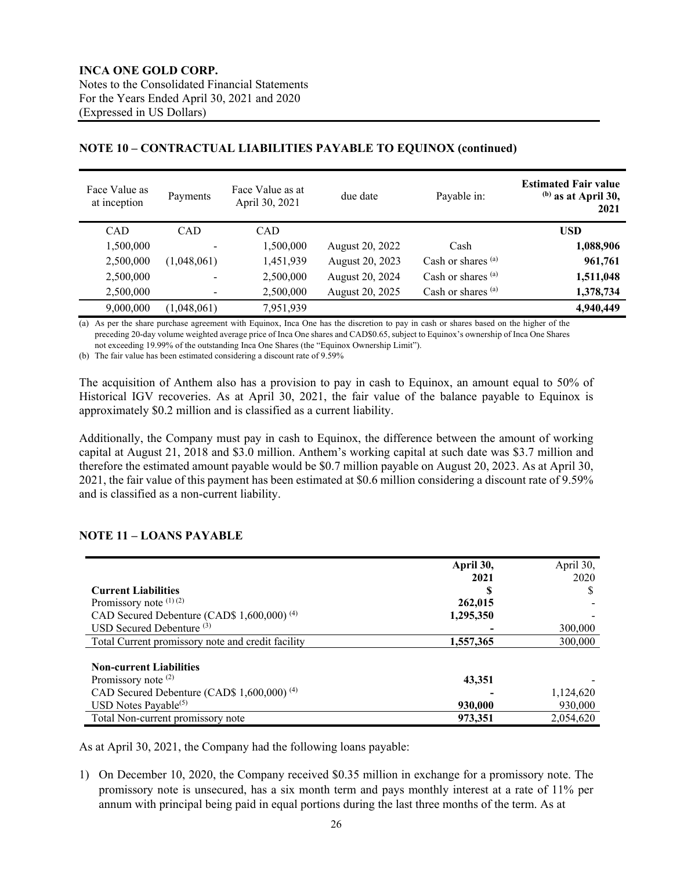#### Face Value as Face Value as Face Value as at<br>at inception Payments April 30, 2021 April 30, 2021 due date Payable in: **Estimated Fair value (b) as at April 30, 2021** CAD CAD CAD **USD** 1,500,000 - 1,500,000 August 20, 2022 Cash **1,088,906** 2,500,000 (1,048,061) 1,451,939 August 20, 2023 Cash or shares (a) **961,761** 2,500,000 - 2,500,000 August 20, 2024 Cash or shares (a) **1,511,048** 2,500,000 - 2,500,000 August 20, 2025 Cash or shares (a) **1,378,734** 9,000,000 (1,048,061) 7,951,939 **4,940,449**

### **NOTE 10 – CONTRACTUAL LIABILITIES PAYABLE TO EQUINOX (continued)**

(a) As per the share purchase agreement with Equinox, Inca One has the discretion to pay in cash or shares based on the higher of the preceding 20-day volume weighted average price of Inca One shares and CAD\$0.65, subject to Equinox's ownership of Inca One Shares not exceeding 19.99% of the outstanding Inca One Shares (the "Equinox Ownership Limit").

(b) The fair value has been estimated considering a discount rate of 9.59%

The acquisition of Anthem also has a provision to pay in cash to Equinox, an amount equal to 50% of Historical IGV recoveries. As at April 30, 2021, the fair value of the balance payable to Equinox is approximately \$0.2 million and is classified as a current liability.

Additionally, the Company must pay in cash to Equinox, the difference between the amount of working capital at August 21, 2018 and \$3.0 million. Anthem's working capital at such date was \$3.7 million and therefore the estimated amount payable would be \$0.7 million payable on August 20, 2023. As at April 30, 2021, the fair value of this payment has been estimated at \$0.6 million considering a discount rate of 9.59% and is classified as a non-current liability.

## **NOTE 11 – LOANS PAYABLE**

|                                                        | April 30, | April 30, |
|--------------------------------------------------------|-----------|-----------|
|                                                        | 2021      | 2020      |
| <b>Current Liabilities</b>                             | D         | D         |
| Promissory note $(1)(2)$                               | 262,015   |           |
| CAD Secured Debenture (CAD\$ 1,600,000) <sup>(4)</sup> | 1,295,350 |           |
| USD Secured Debenture $(3)$                            |           | 300,000   |
| Total Current promissory note and credit facility      | 1,557,365 | 300,000   |
|                                                        |           |           |
| <b>Non-current Liabilities</b>                         |           |           |
| Promissory note $(2)$                                  | 43,351    |           |
| CAD Secured Debenture (CAD\$ 1,600,000) <sup>(4)</sup> |           | 1,124,620 |
| USD Notes Payable $(5)$                                | 930,000   | 930,000   |
| Total Non-current promissory note                      | 973,351   | 2,054,620 |

As at April 30, 2021, the Company had the following loans payable:

1) On December 10, 2020, the Company received \$0.35 million in exchange for a promissory note. The promissory note is unsecured, has a six month term and pays monthly interest at a rate of 11% per annum with principal being paid in equal portions during the last three months of the term. As at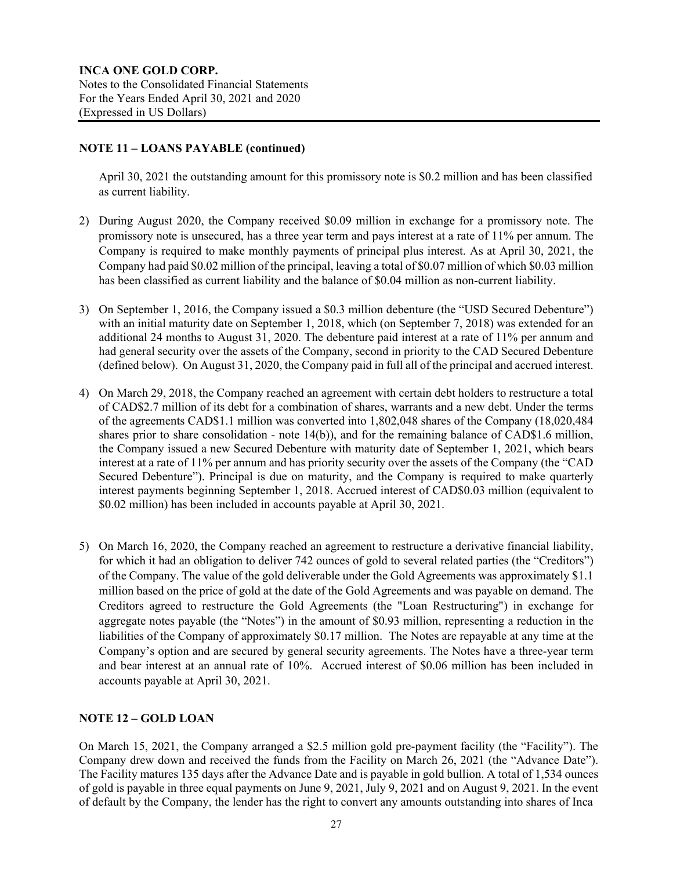## **NOTE 11 – LOANS PAYABLE (continued)**

April 30, 2021 the outstanding amount for this promissory note is \$0.2 million and has been classified as current liability.

- 2) During August 2020, the Company received \$0.09 million in exchange for a promissory note. The promissory note is unsecured, has a three year term and pays interest at a rate of 11% per annum. The Company is required to make monthly payments of principal plus interest. As at April 30, 2021, the Company had paid \$0.02 million of the principal, leaving a total of \$0.07 million of which \$0.03 million has been classified as current liability and the balance of \$0.04 million as non-current liability.
- 3) On September 1, 2016, the Company issued a \$0.3 million debenture (the "USD Secured Debenture") with an initial maturity date on September 1, 2018, which (on September 7, 2018) was extended for an additional 24 months to August 31, 2020. The debenture paid interest at a rate of 11% per annum and had general security over the assets of the Company, second in priority to the CAD Secured Debenture (defined below). On August 31, 2020, the Company paid in full all of the principal and accrued interest.
- 4) On March 29, 2018, the Company reached an agreement with certain debt holders to restructure a total of CAD\$2.7 million of its debt for a combination of shares, warrants and a new debt. Under the terms of the agreements CAD\$1.1 million was converted into 1,802,048 shares of the Company (18,020,484 shares prior to share consolidation - note 14(b)), and for the remaining balance of CAD\$1.6 million, the Company issued a new Secured Debenture with maturity date of September 1, 2021, which bears interest at a rate of 11% per annum and has priority security over the assets of the Company (the "CAD Secured Debenture"). Principal is due on maturity, and the Company is required to make quarterly interest payments beginning September 1, 2018. Accrued interest of CAD\$0.03 million (equivalent to \$0.02 million) has been included in accounts payable at April 30, 2021.
- 5) On March 16, 2020, the Company reached an agreement to restructure a derivative financial liability, for which it had an obligation to deliver 742 ounces of gold to several related parties (the "Creditors") of the Company. The value of the gold deliverable under the Gold Agreements was approximately \$1.1 million based on the price of gold at the date of the Gold Agreements and was payable on demand. The Creditors agreed to restructure the Gold Agreements (the "Loan Restructuring") in exchange for aggregate notes payable (the "Notes") in the amount of \$0.93 million, representing a reduction in the liabilities of the Company of approximately \$0.17 million. The Notes are repayable at any time at the Company's option and are secured by general security agreements. The Notes have a three-year term and bear interest at an annual rate of 10%. Accrued interest of \$0.06 million has been included in accounts payable at April 30, 2021.

## **NOTE 12 – GOLD LOAN**

On March 15, 2021, the Company arranged a \$2.5 million gold pre-payment facility (the "Facility"). The Company drew down and received the funds from the Facility on March 26, 2021 (the "Advance Date"). The Facility matures 135 days after the Advance Date and is payable in gold bullion. A total of 1,534 ounces of gold is payable in three equal payments on June 9, 2021, July 9, 2021 and on August 9, 2021. In the event of default by the Company, the lender has the right to convert any amounts outstanding into shares of Inca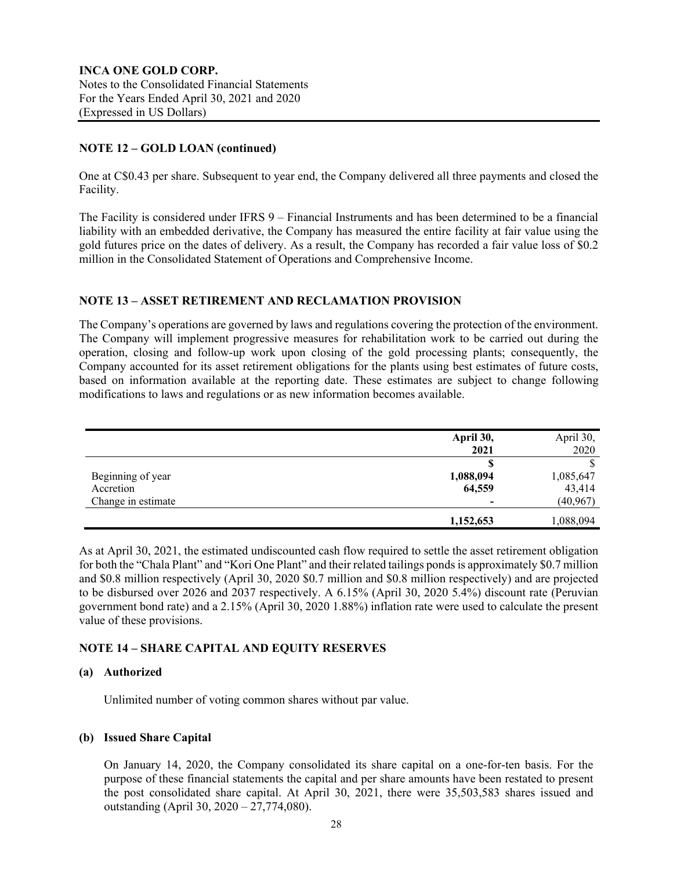**INCA ONE GOLD CORP.** Notes to the Consolidated Financial Statements For the Years Ended April 30, 2021 and 2020 (Expressed in US Dollars)

### **NOTE 12 – GOLD LOAN (continued)**

One at C\$0.43 per share. Subsequent to year end, the Company delivered all three payments and closed the Facility.

The Facility is considered under IFRS 9 – Financial Instruments and has been determined to be a financial liability with an embedded derivative, the Company has measured the entire facility at fair value using the gold futures price on the dates of delivery. As a result, the Company has recorded a fair value loss of \$0.2 million in the Consolidated Statement of Operations and Comprehensive Income.

#### **NOTE 13 – ASSET RETIREMENT AND RECLAMATION PROVISION**

The Company's operations are governed by laws and regulations covering the protection of the environment. The Company will implement progressive measures for rehabilitation work to be carried out during the operation, closing and follow-up work upon closing of the gold processing plants; consequently, the Company accounted for its asset retirement obligations for the plants using best estimates of future costs, based on information available at the reporting date. These estimates are subject to change following modifications to laws and regulations or as new information becomes available.

|                    | April 30, | April 30, |
|--------------------|-----------|-----------|
|                    | 2021      | 2020      |
|                    |           |           |
| Beginning of year  | 1,088,094 | 1,085,647 |
| Accretion          | 64,559    | 43,414    |
| Change in estimate | -         | (40, 967) |
|                    | 1,152,653 | 1,088,094 |

As at April 30, 2021, the estimated undiscounted cash flow required to settle the asset retirement obligation for both the "Chala Plant" and "Kori One Plant" and their related tailings pondsis approximately \$0.7 million and \$0.8 million respectively (April 30, 2020 \$0.7 million and \$0.8 million respectively) and are projected to be disbursed over 2026 and 2037 respectively. A 6.15% (April 30, 2020 5.4%) discount rate (Peruvian government bond rate) and a 2.15% (April 30, 2020 1.88%) inflation rate were used to calculate the present value of these provisions.

## **NOTE 14 – SHARE CAPITAL AND EQUITY RESERVES**

#### **(a) Authorized**

Unlimited number of voting common shares without par value.

#### **(b) Issued Share Capital**

On January 14, 2020, the Company consolidated its share capital on a one-for-ten basis. For the purpose of these financial statements the capital and per share amounts have been restated to present the post consolidated share capital. At April 30, 2021, there were 35,503,583 shares issued and outstanding (April 30, 2020 – 27,774,080).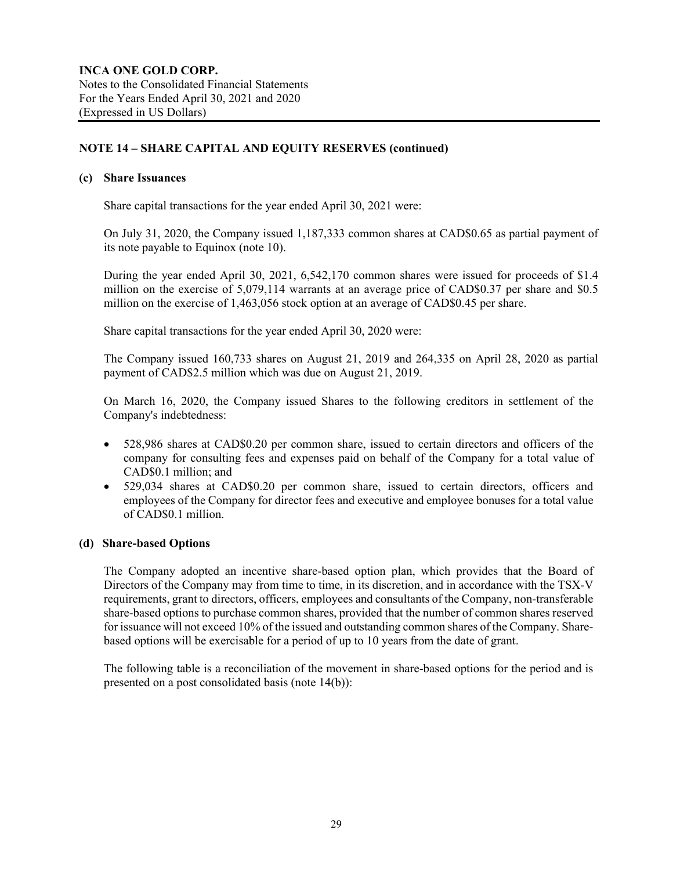## **NOTE 14 – SHARE CAPITAL AND EQUITY RESERVES (continued)**

#### **(c) Share Issuances**

Share capital transactions for the year ended April 30, 2021 were:

On July 31, 2020, the Company issued 1,187,333 common shares at CAD\$0.65 as partial payment of its note payable to Equinox (note 10).

During the year ended April 30, 2021, 6,542,170 common shares were issued for proceeds of \$1.4 million on the exercise of 5,079,114 warrants at an average price of CAD\$0.37 per share and \$0.5 million on the exercise of 1,463,056 stock option at an average of CAD\$0.45 per share.

Share capital transactions for the year ended April 30, 2020 were:

The Company issued 160,733 shares on August 21, 2019 and 264,335 on April 28, 2020 as partial payment of CAD\$2.5 million which was due on August 21, 2019.

On March 16, 2020, the Company issued Shares to the following creditors in settlement of the Company's indebtedness:

- 528,986 shares at CAD\$0.20 per common share, issued to certain directors and officers of the company for consulting fees and expenses paid on behalf of the Company for a total value of CAD\$0.1 million; and
- 529,034 shares at CAD\$0.20 per common share, issued to certain directors, officers and employees of the Company for director fees and executive and employee bonuses for a total value of CAD\$0.1 million.

### **(d) Share-based Options**

The Company adopted an incentive share-based option plan, which provides that the Board of Directors of the Company may from time to time, in its discretion, and in accordance with the TSX-V requirements, grant to directors, officers, employees and consultants of the Company, non-transferable share-based options to purchase common shares, provided that the number of common shares reserved for issuance will not exceed 10% of the issued and outstanding common shares of the Company. Sharebased options will be exercisable for a period of up to 10 years from the date of grant.

The following table is a reconciliation of the movement in share-based options for the period and is presented on a post consolidated basis (note 14(b)):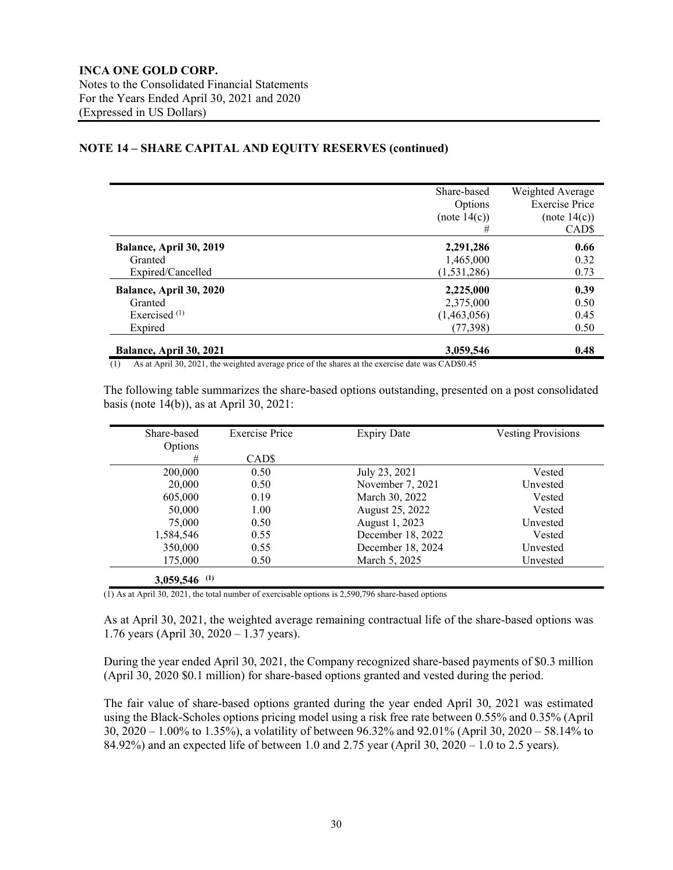## **NOTE 14 – SHARE CAPITAL AND EQUITY RESERVES (continued)**

|                          | Share-based   | Weighted Average      |
|--------------------------|---------------|-----------------------|
|                          | Options       | <b>Exercise Price</b> |
|                          | (note 14(c))  | (note 14(c))          |
|                          | #             | CAD <sub>\$</sub>     |
| Balance, April 30, 2019  | 2,291,286     | 0.66                  |
| Granted                  | 1,465,000     | 0.32                  |
| Expired/Cancelled        | (1, 531, 286) | 0.73                  |
| Balance, April 30, 2020  | 2,225,000     | 0.39                  |
| Granted                  | 2,375,000     | 0.50                  |
| Exercised <sup>(1)</sup> | (1,463,056)   | 0.45                  |
| Expired                  | (77, 398)     | 0.50                  |
| Balance, April 30, 2021  | 3,059,546     | 0.48                  |
|                          |               |                       |

(1) As at April 30, 2021, the weighted average price of the shares at the exercise date was CAD\$0.45

The following table summarizes the share-based options outstanding, presented on a post consolidated basis (note 14(b)), as at April 30, 2021:

| Share-based      | <b>Exercise Price</b> | <b>Expiry Date</b> | <b>Vesting Provisions</b> |
|------------------|-----------------------|--------------------|---------------------------|
| Options          |                       |                    |                           |
| #                | CAD <sub>S</sub>      |                    |                           |
| 200,000          | 0.50                  | July 23, 2021      | Vested                    |
| 20,000           | 0.50                  | November 7, 2021   | Unvested                  |
| 605,000          | 0.19                  | March 30, 2022     | Vested                    |
| 50,000           | 1.00                  | August 25, 2022    | Vested                    |
| 75,000           | 0.50                  | August 1, 2023     | Unvested                  |
| 1,584,546        | 0.55                  | December 18, 2022  | Vested                    |
| 350,000          | 0.55                  | December 18, 2024  | Unvested                  |
| 175,000          | 0.50                  | March 5, 2025      | Unvested                  |
| (1)<br>3,059,546 |                       |                    |                           |

(1) As at April 30, 2021, the total number of exercisable options is 2,590,796 share-based options

As at April 30, 2021, the weighted average remaining contractual life of the share-based options was 1.76 years (April 30, 2020 – 1.37 years).

During the year ended April 30, 2021, the Company recognized share-based payments of \$0.3 million (April 30, 2020 \$0.1 million) for share-based options granted and vested during the period.

The fair value of share-based options granted during the year ended April 30, 2021 was estimated using the Black-Scholes options pricing model using a risk free rate between 0.55% and 0.35% (April 30, 2020 – 1.00% to 1.35%), a volatility of between 96.32% and 92.01% (April 30, 2020 – 58.14% to 84.92%) and an expected life of between 1.0 and 2.75 year (April 30, 2020 – 1.0 to 2.5 years).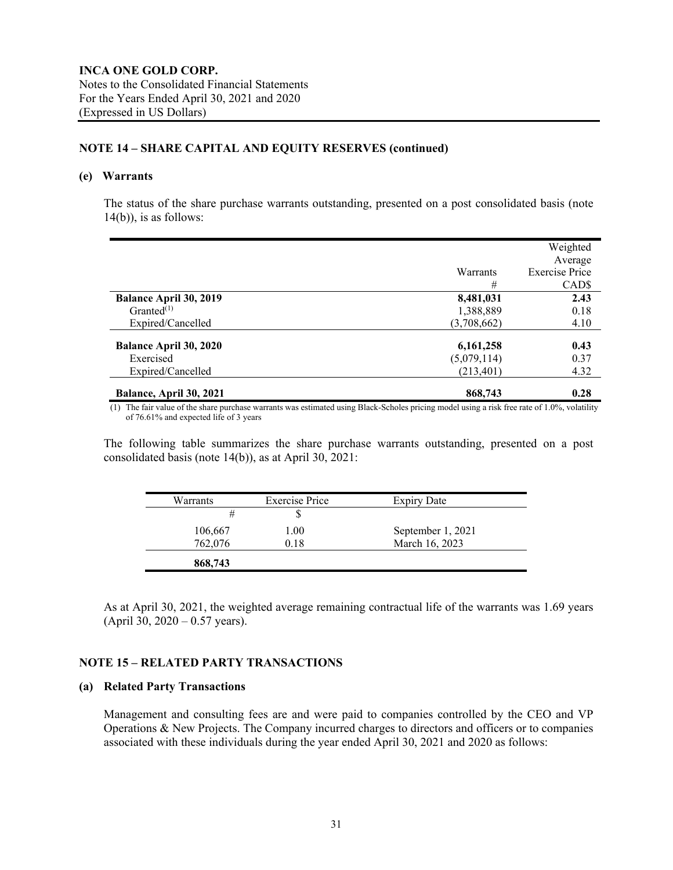## **NOTE 14 – SHARE CAPITAL AND EQUITY RESERVES (continued)**

#### **(e) Warrants**

The status of the share purchase warrants outstanding, presented on a post consolidated basis (note  $14(b)$ , is as follows:

|                               |             | Weighted<br>Average   |
|-------------------------------|-------------|-----------------------|
|                               | Warrants    | <b>Exercise Price</b> |
|                               | #           | CAD <sub>S</sub>      |
| <b>Balance April 30, 2019</b> | 8,481,031   | 2.43                  |
| $Granted$ <sup>(1)</sup>      | 1,388,889   | 0.18                  |
| Expired/Cancelled             | (3,708,662) | 4.10                  |
| <b>Balance April 30, 2020</b> | 6,161,258   | 0.43                  |
| Exercised                     | (5,079,114) | 0.37                  |
| Expired/Cancelled             | (213, 401)  | 4.32                  |
| Balance, April 30, 2021       | 868,743     | 0.28                  |

(1) The fair value of the share purchase warrants was estimated using Black-Scholes pricing model using a risk free rate of 1.0%, volatility of 76.61% and expected life of 3 years

The following table summarizes the share purchase warrants outstanding, presented on a post consolidated basis (note 14(b)), as at April 30, 2021:

| Warrants | <b>Exercise Price</b> | <b>Expiry Date</b> |
|----------|-----------------------|--------------------|
|          |                       |                    |
| 106,667  | 1.00                  | September 1, 2021  |
| 762,076  | 0.18                  | March 16, 2023     |
| 868,743  |                       |                    |

As at April 30, 2021, the weighted average remaining contractual life of the warrants was 1.69 years (April 30, 2020 – 0.57 years).

#### **NOTE 15 – RELATED PARTY TRANSACTIONS**

#### **(a) Related Party Transactions**

Management and consulting fees are and were paid to companies controlled by the CEO and VP Operations & New Projects. The Company incurred charges to directors and officers or to companies associated with these individuals during the year ended April 30, 2021 and 2020 as follows: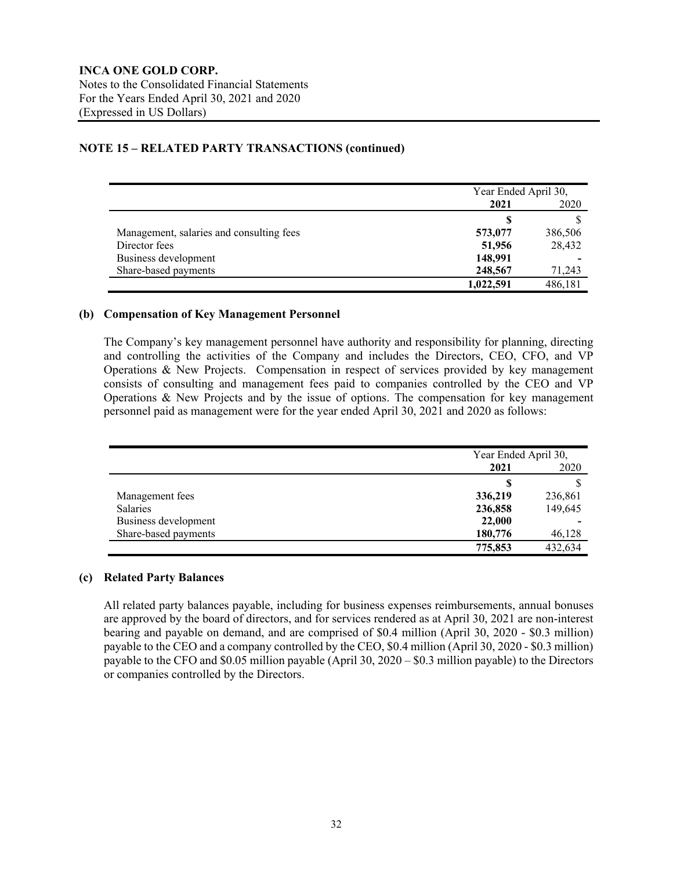## **NOTE 15 – RELATED PARTY TRANSACTIONS (continued)**

|                                          | Year Ended April 30, |         |
|------------------------------------------|----------------------|---------|
|                                          | 2021<br>2020         |         |
|                                          | S                    |         |
| Management, salaries and consulting fees | 573,077              | 386,506 |
| Director fees                            | 51,956               | 28,432  |
| Business development                     | 148,991              |         |
| Share-based payments                     | 248,567              | 71,243  |
|                                          | 1,022,591            | 486,181 |

#### **(b) Compensation of Key Management Personnel**

The Company's key management personnel have authority and responsibility for planning, directing and controlling the activities of the Company and includes the Directors, CEO, CFO, and VP Operations & New Projects. Compensation in respect of services provided by key management consists of consulting and management fees paid to companies controlled by the CEO and VP Operations & New Projects and by the issue of options. The compensation for key management personnel paid as management were for the year ended April 30, 2021 and 2020 as follows:

|                      | Year Ended April 30, |         |  |
|----------------------|----------------------|---------|--|
|                      | 2021                 | 2020    |  |
|                      | S                    |         |  |
| Management fees      | 336,219              | 236,861 |  |
| <b>Salaries</b>      | 236,858              | 149,645 |  |
| Business development | 22,000               |         |  |
| Share-based payments | 180,776              | 46,128  |  |
|                      | 775,853              | 432,634 |  |

#### **(c) Related Party Balances**

All related party balances payable, including for business expenses reimbursements, annual bonuses are approved by the board of directors, and for services rendered as at April 30, 2021 are non-interest bearing and payable on demand, and are comprised of \$0.4 million (April 30, 2020 - \$0.3 million) payable to the CEO and a company controlled by the CEO, \$0.4 million (April 30, 2020 - \$0.3 million) payable to the CFO and \$0.05 million payable (April 30, 2020 – \$0.3 million payable) to the Directors or companies controlled by the Directors.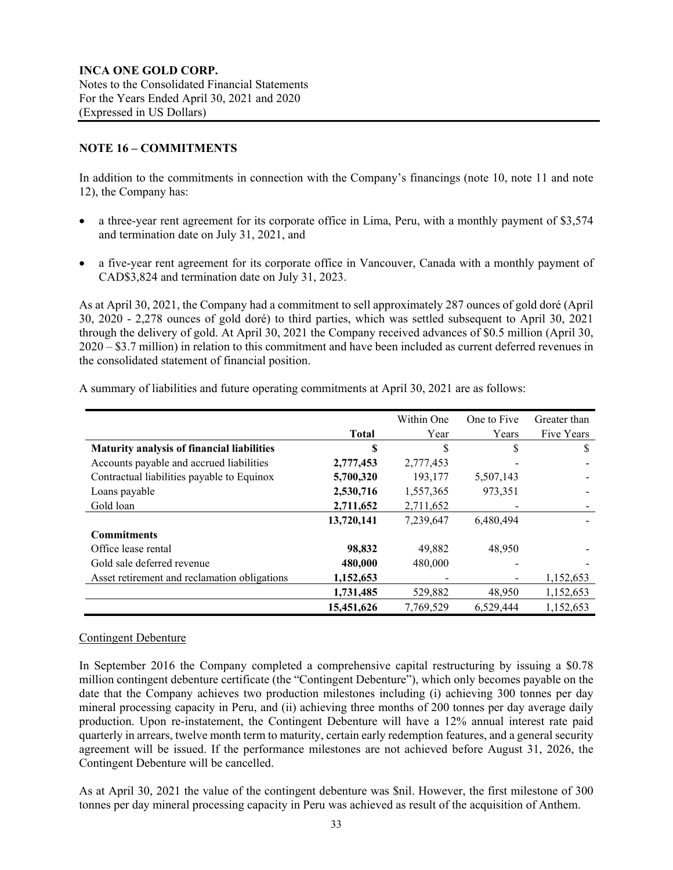## **NOTE 16 – COMMITMENTS**

In addition to the commitments in connection with the Company's financings (note 10, note 11 and note 12), the Company has:

- a three-year rent agreement for its corporate office in Lima, Peru, with a monthly payment of \$3,574 and termination date on July 31, 2021, and
- a five-year rent agreement for its corporate office in Vancouver, Canada with a monthly payment of CAD\$3,824 and termination date on July 31, 2023.

As at April 30, 2021, the Company had a commitment to sell approximately 287 ounces of gold doré (April 30, 2020 - 2,278 ounces of gold doré) to third parties, which was settled subsequent to April 30, 2021 through the delivery of gold. At April 30, 2021 the Company received advances of \$0.5 million (April 30, 2020 – \$3.7 million) in relation to this commitment and have been included as current deferred revenues in the consolidated statement of financial position.

|                                                   |              | Within One | One to Five | Greater than |
|---------------------------------------------------|--------------|------------|-------------|--------------|
|                                                   | <b>Total</b> | Year       | Years       | Five Years   |
| <b>Maturity analysis of financial liabilities</b> | S            | S          | S           | S            |
| Accounts payable and accrued liabilities          | 2,777,453    | 2,777,453  |             |              |
| Contractual liabilities payable to Equinox        | 5,700,320    | 193,177    | 5,507,143   |              |
| Loans payable                                     | 2,530,716    | 1,557,365  | 973,351     |              |
| Gold loan                                         | 2,711,652    | 2,711,652  |             |              |
|                                                   | 13,720,141   | 7,239,647  | 6.480.494   |              |
| <b>Commitments</b>                                |              |            |             |              |
| Office lease rental                               | 98,832       | 49,882     | 48.950      |              |
| Gold sale deferred revenue                        | 480,000      | 480,000    |             |              |
| Asset retirement and reclamation obligations      | 1,152,653    |            |             | 1,152,653    |
|                                                   | 1,731,485    | 529,882    | 48,950      | 1,152,653    |
|                                                   | 15.451.626   | 7.769.529  | 6.529.444   | 1,152,653    |

A summary of liabilities and future operating commitments at April 30, 2021 are as follows:

## Contingent Debenture

In September 2016 the Company completed a comprehensive capital restructuring by issuing a \$0.78 million contingent debenture certificate (the "Contingent Debenture"), which only becomes payable on the date that the Company achieves two production milestones including (i) achieving 300 tonnes per day mineral processing capacity in Peru, and (ii) achieving three months of 200 tonnes per day average daily production. Upon re-instatement, the Contingent Debenture will have a 12% annual interest rate paid quarterly in arrears, twelve month term to maturity, certain early redemption features, and a general security agreement will be issued. If the performance milestones are not achieved before August 31, 2026, the Contingent Debenture will be cancelled.

As at April 30, 2021 the value of the contingent debenture was \$nil. However, the first milestone of 300 tonnes per day mineral processing capacity in Peru was achieved as result of the acquisition of Anthem.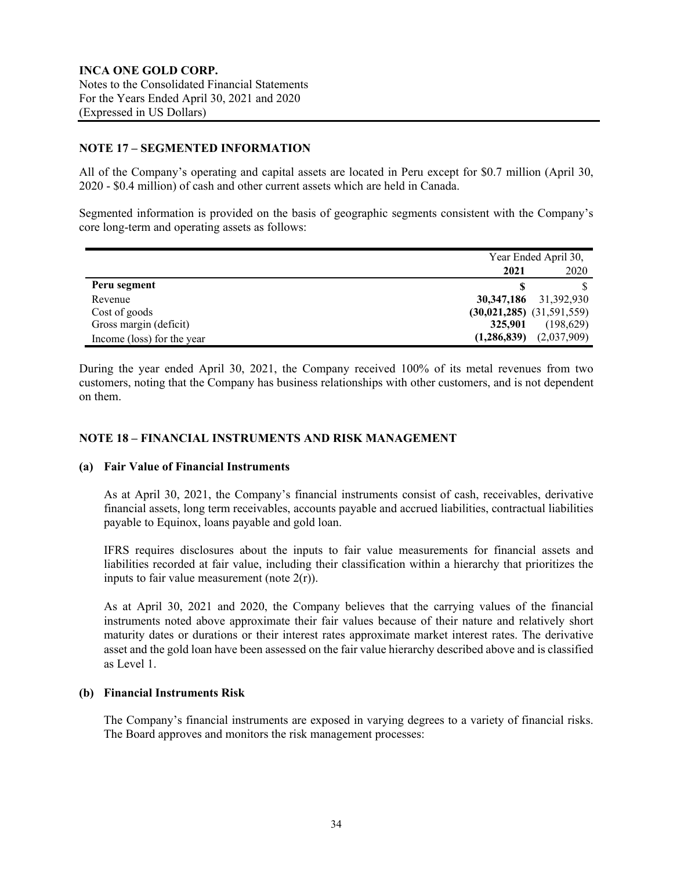## **NOTE 17 – SEGMENTED INFORMATION**

All of the Company's operating and capital assets are located in Peru except for \$0.7 million (April 30, 2020 - \$0.4 million) of cash and other current assets which are held in Canada.

Segmented information is provided on the basis of geographic segments consistent with the Company's core long-term and operating assets as follows:

|                            |                               | Year Ended April 30, |  |
|----------------------------|-------------------------------|----------------------|--|
|                            | 2021                          | 2020                 |  |
| Peru segment               |                               |                      |  |
| Revenue                    | 30,347,186                    | 31,392,930           |  |
| Cost of goods              | $(30,021,285)$ $(31,591,559)$ |                      |  |
| Gross margin (deficit)     | 325,901                       | (198,629)            |  |
| Income (loss) for the year | (1,286,839)                   | (2,037,909)          |  |

During the year ended April 30, 2021, the Company received 100% of its metal revenues from two customers, noting that the Company has business relationships with other customers, and is not dependent on them.

## **NOTE 18 – FINANCIAL INSTRUMENTS AND RISK MANAGEMENT**

#### **(a) Fair Value of Financial Instruments**

As at April 30, 2021, the Company's financial instruments consist of cash, receivables, derivative financial assets, long term receivables, accounts payable and accrued liabilities, contractual liabilities payable to Equinox, loans payable and gold loan.

IFRS requires disclosures about the inputs to fair value measurements for financial assets and liabilities recorded at fair value, including their classification within a hierarchy that prioritizes the inputs to fair value measurement (note  $2(r)$ ).

As at April 30, 2021 and 2020, the Company believes that the carrying values of the financial instruments noted above approximate their fair values because of their nature and relatively short maturity dates or durations or their interest rates approximate market interest rates. The derivative asset and the gold loan have been assessed on the fair value hierarchy described above and is classified as Level 1.

#### **(b) Financial Instruments Risk**

The Company's financial instruments are exposed in varying degrees to a variety of financial risks. The Board approves and monitors the risk management processes: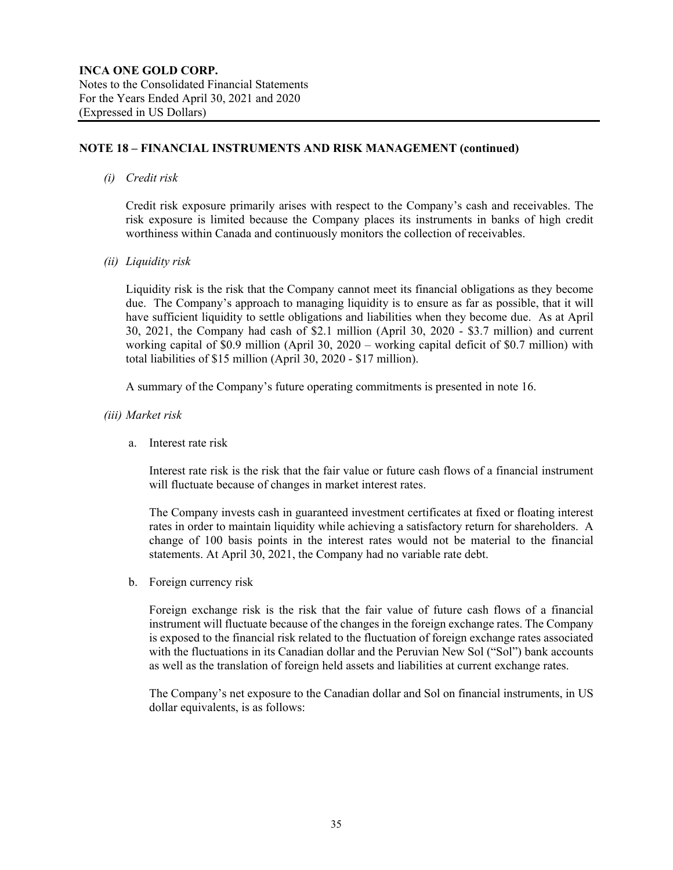## **NOTE 18 – FINANCIAL INSTRUMENTS AND RISK MANAGEMENT (continued)**

#### *(i) Credit risk*

Credit risk exposure primarily arises with respect to the Company's cash and receivables. The risk exposure is limited because the Company places its instruments in banks of high credit worthiness within Canada and continuously monitors the collection of receivables.

*(ii) Liquidity risk*

Liquidity risk is the risk that the Company cannot meet its financial obligations as they become due. The Company's approach to managing liquidity is to ensure as far as possible, that it will have sufficient liquidity to settle obligations and liabilities when they become due. As at April 30, 2021, the Company had cash of \$2.1 million (April 30, 2020 - \$3.7 million) and current working capital of \$0.9 million (April 30, 2020 – working capital deficit of \$0.7 million) with total liabilities of \$15 million (April 30, 2020 - \$17 million).

A summary of the Company's future operating commitments is presented in note 16.

- *(iii) Market risk*
	- a. Interest rate risk

Interest rate risk is the risk that the fair value or future cash flows of a financial instrument will fluctuate because of changes in market interest rates.

The Company invests cash in guaranteed investment certificates at fixed or floating interest rates in order to maintain liquidity while achieving a satisfactory return for shareholders. A change of 100 basis points in the interest rates would not be material to the financial statements. At April 30, 2021, the Company had no variable rate debt.

b. Foreign currency risk

Foreign exchange risk is the risk that the fair value of future cash flows of a financial instrument will fluctuate because of the changes in the foreign exchange rates. The Company is exposed to the financial risk related to the fluctuation of foreign exchange rates associated with the fluctuations in its Canadian dollar and the Peruvian New Sol ("Sol") bank accounts as well as the translation of foreign held assets and liabilities at current exchange rates.

The Company's net exposure to the Canadian dollar and Sol on financial instruments, in US dollar equivalents, is as follows: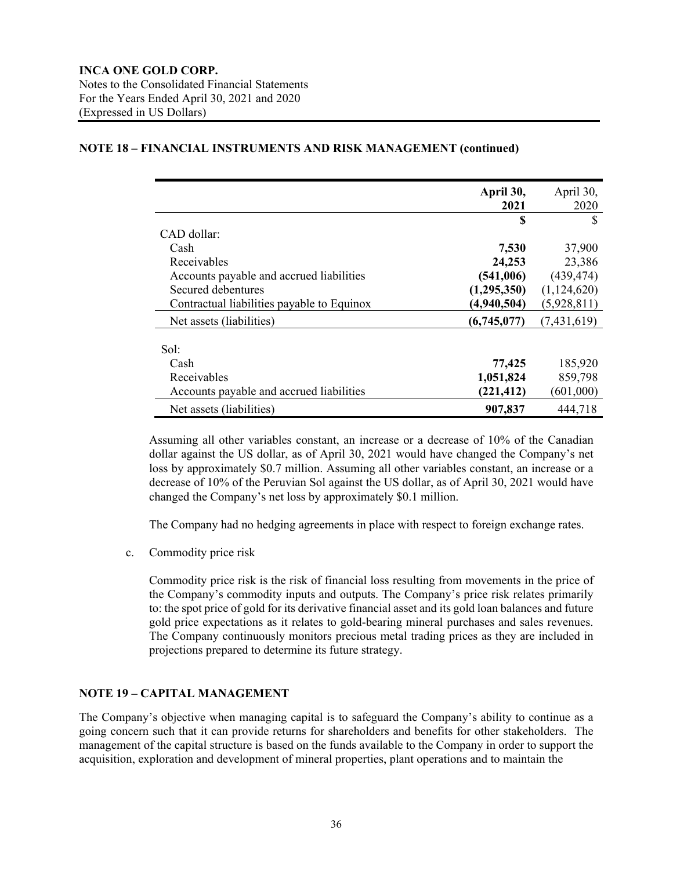## **April 30, 2021** April 30, 2020 **\$** \$ CAD dollar: Cash **7,530** 37,900 Receivables **24,253** 23,386 Accounts payable and accrued liabilities **(541,006)** (439,474) Secured debentures **(1,295,350)** (1,124,620) Contractual liabilities payable to Equinox **(4,940,504)** (5,928,811) Net assets (liabilities) **(6,745,077)** (7,431,619) Sol: Cash **77,425** 185,920 Receivables **1,051,824** 859,798 Accounts payable and accrued liabilities (221,412) (601,000) Net assets (liabilities) **907,837** 444,718

## **NOTE 18 – FINANCIAL INSTRUMENTS AND RISK MANAGEMENT (continued)**

Assuming all other variables constant, an increase or a decrease of 10% of the Canadian dollar against the US dollar, as of April 30, 2021 would have changed the Company's net loss by approximately \$0.7 million. Assuming all other variables constant, an increase or a decrease of 10% of the Peruvian Sol against the US dollar, as of April 30, 2021 would have changed the Company's net loss by approximately \$0.1 million.

The Company had no hedging agreements in place with respect to foreign exchange rates.

c. Commodity price risk

Commodity price risk is the risk of financial loss resulting from movements in the price of the Company's commodity inputs and outputs. The Company's price risk relates primarily to: the spot price of gold for its derivative financial asset and its gold loan balances and future gold price expectations as it relates to gold-bearing mineral purchases and sales revenues. The Company continuously monitors precious metal trading prices as they are included in projections prepared to determine its future strategy.

## **NOTE 19 – CAPITAL MANAGEMENT**

The Company's objective when managing capital is to safeguard the Company's ability to continue as a going concern such that it can provide returns for shareholders and benefits for other stakeholders. The management of the capital structure is based on the funds available to the Company in order to support the acquisition, exploration and development of mineral properties, plant operations and to maintain the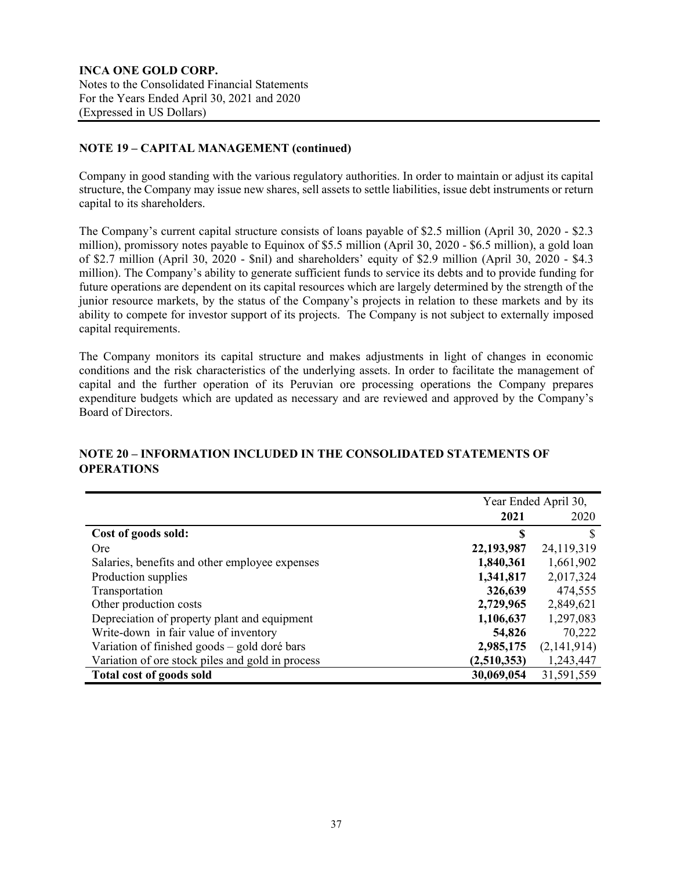## **NOTE 19 – CAPITAL MANAGEMENT (continued)**

Company in good standing with the various regulatory authorities. In order to maintain or adjust its capital structure, the Company may issue new shares, sell assets to settle liabilities, issue debt instruments or return capital to its shareholders.

The Company's current capital structure consists of loans payable of \$2.5 million (April 30, 2020 - \$2.3 million), promissory notes payable to Equinox of \$5.5 million (April 30, 2020 - \$6.5 million), a gold loan of \$2.7 million (April 30, 2020 - \$nil) and shareholders' equity of \$2.9 million (April 30, 2020 - \$4.3 million). The Company's ability to generate sufficient funds to service its debts and to provide funding for future operations are dependent on its capital resources which are largely determined by the strength of the junior resource markets, by the status of the Company's projects in relation to these markets and by its ability to compete for investor support of its projects. The Company is not subject to externally imposed capital requirements.

The Company monitors its capital structure and makes adjustments in light of changes in economic conditions and the risk characteristics of the underlying assets. In order to facilitate the management of capital and the further operation of its Peruvian ore processing operations the Company prepares expenditure budgets which are updated as necessary and are reviewed and approved by the Company's Board of Directors.

|                                                  | Year Ended April 30, |             |
|--------------------------------------------------|----------------------|-------------|
|                                                  | 2021                 | 2020        |
| Cost of goods sold:                              | S                    |             |
| <b>Ore</b>                                       | 22,193,987           | 24,119,319  |
| Salaries, benefits and other employee expenses   | 1,840,361            | 1,661,902   |
| Production supplies                              | 1,341,817            | 2,017,324   |
| Transportation                                   | 326,639              | 474,555     |
| Other production costs                           | 2,729,965            | 2,849,621   |
| Depreciation of property plant and equipment     | 1,106,637            | 1,297,083   |
| Write-down in fair value of inventory            | 54,826               | 70,222      |
| Variation of finished goods - gold doré bars     | 2,985,175            | (2,141,914) |
| Variation of ore stock piles and gold in process | (2,510,353)          | 1,243,447   |
| <b>Total cost of goods sold</b>                  | 30,069,054           | 31,591,559  |

## **NOTE 20 – INFORMATION INCLUDED IN THE CONSOLIDATED STATEMENTS OF OPERATIONS**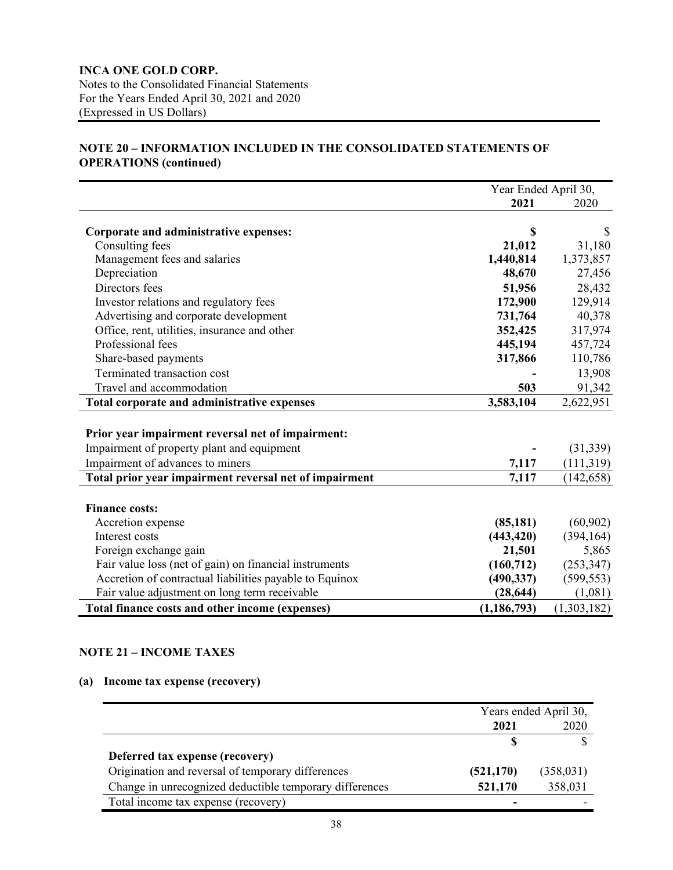## **INCA ONE GOLD CORP.** Notes to the Consolidated Financial Statements For the Years Ended April 30, 2021 and 2020 (Expressed in US Dollars)

## **NOTE 20 – INFORMATION INCLUDED IN THE CONSOLIDATED STATEMENTS OF OPERATIONS (continued)**

|                                                         |               | Year Ended April 30, |  |
|---------------------------------------------------------|---------------|----------------------|--|
|                                                         | 2021          | 2020                 |  |
|                                                         |               |                      |  |
| Corporate and administrative expenses:                  | \$            |                      |  |
| Consulting fees                                         | 21,012        | 31,180               |  |
| Management fees and salaries                            | 1,440,814     | 1,373,857            |  |
| Depreciation                                            | 48,670        | 27,456               |  |
| Directors fees                                          | 51,956        | 28,432               |  |
| Investor relations and regulatory fees                  | 172,900       | 129,914              |  |
| Advertising and corporate development                   | 731,764       | 40,378               |  |
| Office, rent, utilities, insurance and other            | 352,425       | 317,974              |  |
| Professional fees                                       | 445,194       | 457,724              |  |
| Share-based payments                                    | 317,866       | 110,786              |  |
| Terminated transaction cost                             |               | 13,908               |  |
| Travel and accommodation                                | 503           | 91,342               |  |
| Total corporate and administrative expenses             | 3,583,104     | 2,622,951            |  |
|                                                         |               |                      |  |
| Prior year impairment reversal net of impairment:       |               |                      |  |
| Impairment of property plant and equipment              |               | (31, 339)            |  |
| Impairment of advances to miners                        | 7,117         | (111, 319)           |  |
| Total prior year impairment reversal net of impairment  | 7,117         | (142, 658)           |  |
|                                                         |               |                      |  |
| <b>Finance costs:</b>                                   |               |                      |  |
| Accretion expense                                       | (85, 181)     | (60, 902)            |  |
| Interest costs                                          | (443, 420)    | (394, 164)           |  |
| Foreign exchange gain                                   | 21,501        | 5,865                |  |
| Fair value loss (net of gain) on financial instruments  | (160, 712)    | (253, 347)           |  |
| Accretion of contractual liabilities payable to Equinox | (490, 337)    | (599, 553)           |  |
| Fair value adjustment on long term receivable           | (28, 644)     | (1,081)              |  |
| Total finance costs and other income (expenses)         | (1, 186, 793) | (1,303,182)          |  |

## **NOTE 21 – INCOME TAXES**

## **(a) Income tax expense (recovery)**

|                                                         | Years ended April 30, |            |
|---------------------------------------------------------|-----------------------|------------|
|                                                         | 2021                  | 2020       |
|                                                         |                       |            |
| Deferred tax expense (recovery)                         |                       |            |
| Origination and reversal of temporary differences       | (521, 170)            | (358, 031) |
| Change in unrecognized deductible temporary differences | 521,170               | 358,031    |
| Total income tax expense (recovery)                     |                       |            |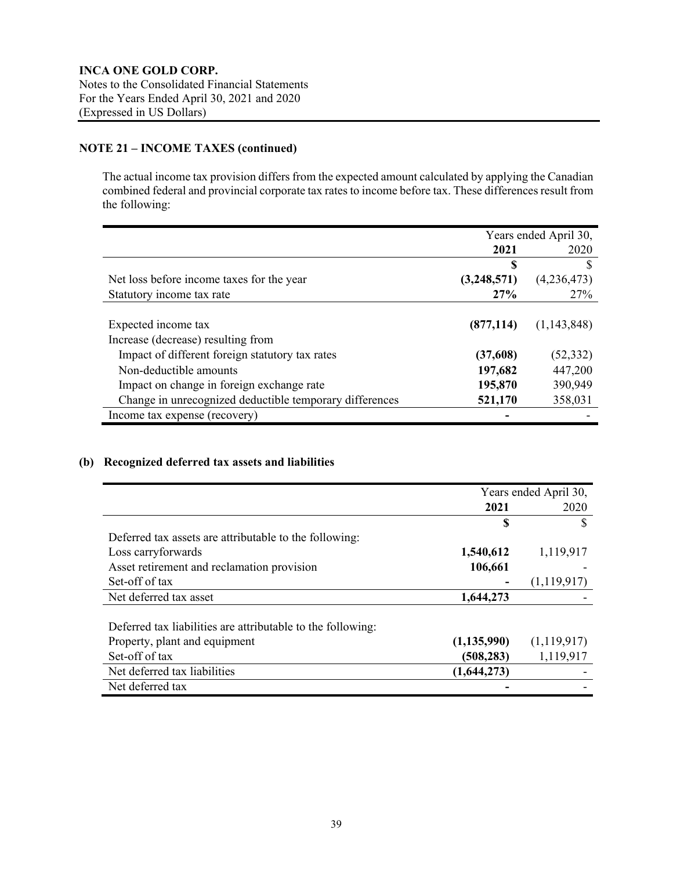## **NOTE 21 – INCOME TAXES (continued)**

The actual income tax provision differs from the expected amount calculated by applying the Canadian combined federal and provincial corporate tax rates to income before tax. These differences result from the following:

|                                                         | Years ended April 30, |             |
|---------------------------------------------------------|-----------------------|-------------|
|                                                         | 2021                  | 2020        |
|                                                         | S                     |             |
| Net loss before income taxes for the year               | (3,248,571)           | (4,236,473) |
| Statutory income tax rate                               | 27%                   | 27%         |
|                                                         |                       |             |
| Expected income tax                                     | (877, 114)            | (1,143,848) |
| Increase (decrease) resulting from                      |                       |             |
| Impact of different foreign statutory tax rates         | (37,608)              | (52, 332)   |
| Non-deductible amounts                                  | 197,682               | 447,200     |
| Impact on change in foreign exchange rate               | 195,870               | 390,949     |
| Change in unrecognized deductible temporary differences | 521,170               | 358,031     |
| Income tax expense (recovery)                           |                       |             |

## **(b) Recognized deferred tax assets and liabilities**

|                                                             | Years ended April 30, |             |
|-------------------------------------------------------------|-----------------------|-------------|
|                                                             | 2021                  | 2020        |
|                                                             | S                     | S           |
| Deferred tax assets are attributable to the following:      |                       |             |
| Loss carryforwards                                          | 1,540,612             | 1,119,917   |
| Asset retirement and reclamation provision                  | 106,661               |             |
| Set-off of tax                                              |                       | (1,119,917) |
| Net deferred tax asset                                      | 1,644,273             |             |
| Deferred tax liabilities are attributable to the following: |                       |             |
| Property, plant and equipment                               | (1, 135, 990)         | (1,119,917) |
| Set-off of tax                                              | (508, 283)            | 1,119,917   |
| Net deferred tax liabilities                                | (1,644,273)           |             |
| Net deferred tax                                            |                       |             |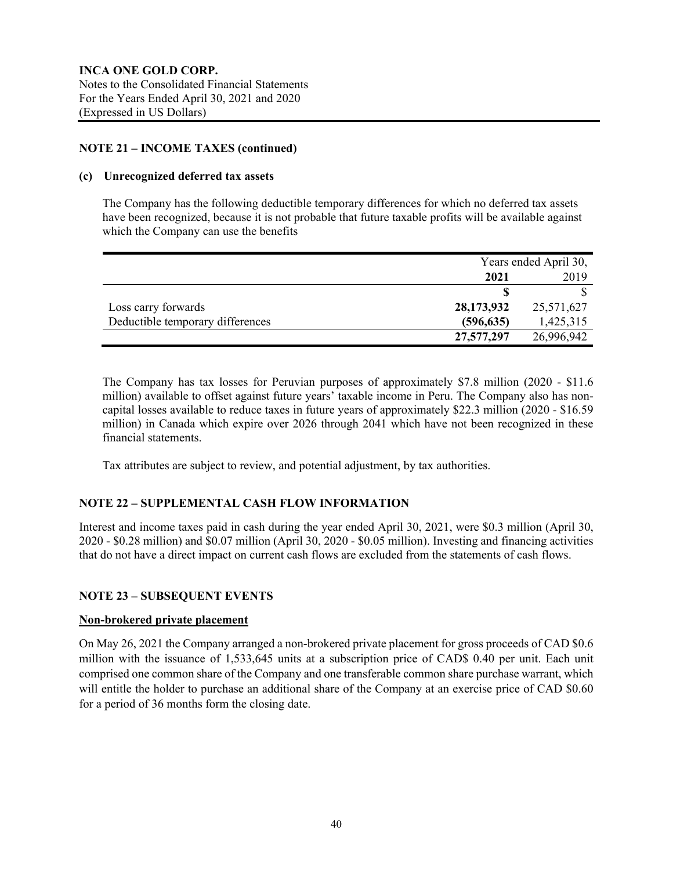## **NOTE 21 – INCOME TAXES (continued)**

### **(c) Unrecognized deferred tax assets**

The Company has the following deductible temporary differences for which no deferred tax assets have been recognized, because it is not probable that future taxable profits will be available against which the Company can use the benefits

|                                  |            | Years ended April 30, |  |
|----------------------------------|------------|-----------------------|--|
|                                  | 2021       | 2019                  |  |
|                                  |            |                       |  |
| Loss carry forwards              | 28,173,932 | 25,571,627            |  |
| Deductible temporary differences | (596, 635) | 1,425,315             |  |
|                                  | 27,577,297 | 26,996,942            |  |

The Company has tax losses for Peruvian purposes of approximately \$7.8 million (2020 - \$11.6 million) available to offset against future years' taxable income in Peru. The Company also has noncapital losses available to reduce taxes in future years of approximately \$22.3 million (2020 - \$16.59 million) in Canada which expire over 2026 through 2041 which have not been recognized in these financial statements.

Tax attributes are subject to review, and potential adjustment, by tax authorities.

## **NOTE 22 – SUPPLEMENTAL CASH FLOW INFORMATION**

Interest and income taxes paid in cash during the year ended April 30, 2021, were \$0.3 million (April 30, 2020 - \$0.28 million) and \$0.07 million (April 30, 2020 - \$0.05 million). Investing and financing activities that do not have a direct impact on current cash flows are excluded from the statements of cash flows.

## **NOTE 23 – SUBSEQUENT EVENTS**

#### **Non-brokered private placement**

On May 26, 2021 the Company arranged a non-brokered private placement for gross proceeds of CAD \$0.6 million with the issuance of 1,533,645 units at a subscription price of CAD\$ 0.40 per unit. Each unit comprised one common share of the Company and one transferable common share purchase warrant, which will entitle the holder to purchase an additional share of the Company at an exercise price of CAD \$0.60 for a period of 36 months form the closing date.